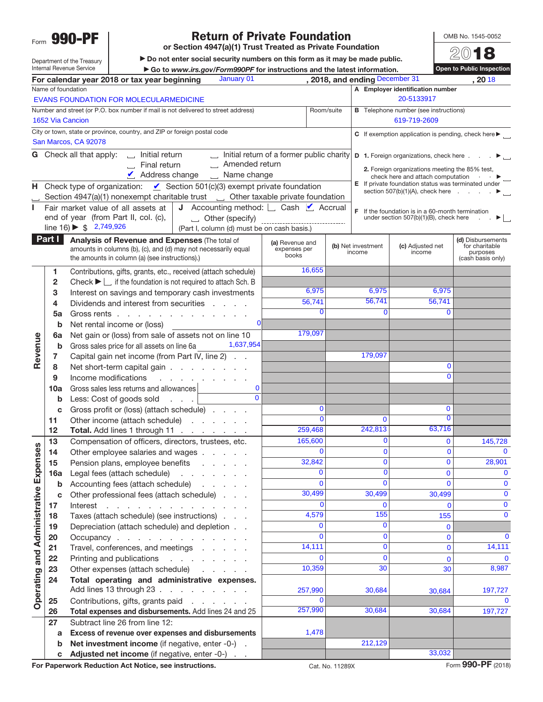Form **990-PF**

# **Return of Private Foundation**

**or Section 4947(a)(1) Trust Treated as Private Foundation**

 $\blacktriangleright$  Do not enter social security numbers on this form as it may be made public.

OMB No. 1545-0052 20**18**

Department of the Treasury Internal Revenue Service

| , 2018, and ending December 31<br>January 01<br>For calendar year 2018 or tax year beginning<br>, 2018<br>Name of foundation<br>A Employer identification number<br>20-5133917<br>EVANS FOUNDATION FOR MOLECULARMEDICINE<br>Number and street (or P.O. box number if mail is not delivered to street address)<br>Room/suite<br><b>B</b> Telephone number (see instructions)<br>1652 Via Cancion<br>619-719-2609<br>City or town, state or province, country, and ZIP or foreign postal code<br>San Marcos, CA 92078<br>Initial return of a former public charity<br><b>G</b> Check all that apply:<br>Initial return<br>ᆸ<br><b>D</b> 1. Foreign organizations, check here<br>Amended return<br>Final return<br>2. Foreign organizations meeting the 85% test,<br>Address change<br>$\boldsymbol{\nu}$<br>$\Box$ Name change<br>check here and attach computation .<br>E If private foundation status was terminated under<br>Check type of organization: $\Box$ Section 501(c)(3) exempt private foundation<br>н,<br>section $507(b)(1)(A)$ , check here $\ldots$<br>Section 4947(a)(1) nonexempt charitable trust $\Box$ Other taxable private foundation<br><b>J</b> Accounting method: $\Box$ Cash $\Box$ Accrual<br>Fair market value of all assets at<br>L<br>F<br>If the foundation is in a 60-month termination<br>end of year (from Part II, col. (c),<br>$\Box$ Other (specify)<br>under section 507(b)(1)(B), check here<br>►⊔<br>line $16$ ) $\triangleright$ \$ 2,749,926<br>(Part I, column (d) must be on cash basis.)<br>Part I<br>Analysis of Revenue and Expenses (The total of<br>(d) Disbursements<br>(a) Revenue and<br>(b) Net investment<br>(c) Adjusted net<br>for charitable<br>amounts in columns (b), (c), and (d) may not necessarily equal<br>expenses per<br>income<br>income<br>purposes<br>books<br>the amounts in column (a) (see instructions).)<br>(cash basis only)<br>16,655<br>Contributions, gifts, grants, etc., received (attach schedule)<br>1<br>Check $\blacktriangleright \Box$ if the foundation is not required to attach Sch. B<br>$\mathbf{2}$<br>6,975<br>6,975<br>6,975<br>Interest on savings and temporary cash investments<br>3<br>56,741<br>56,741<br>56,741<br>Dividends and interest from securities<br>4<br><b>Contractor</b><br>$\Omega$<br>$\Omega$<br>0<br>5a<br>Gross rents<br>Net rental income or (loss)<br>b<br>179,097<br>Net gain or (loss) from sale of assets not on line 10<br>Revenue<br>6a<br>1,637,954<br>Gross sales price for all assets on line 6a<br>b<br>179,097<br>Capital gain net income (from Part IV, line 2)<br>7<br>$\mathbf 0$<br>8<br>Net short-term capital gain<br>$\Omega$<br>Income modifications<br>9<br>and a strategic and a strategic<br>Gross sales less returns and allowances<br>$\mathbf 0$<br>10a<br>$\overline{\mathsf{o}}$<br>Less: Cost of goods sold<br>b<br>0<br>0<br>Gross profit or (loss) (attach schedule)<br>c<br>$\overline{0}$<br>$\Omega$<br>$\Omega$<br>Other income (attach schedule)<br>11<br>242,813<br>63,716<br>259,468<br>Total. Add lines 1 through 11<br>$12 \,$<br>165,600<br>$\overline{0}$<br>13<br>Compensation of officers, directors, trustees, etc.<br>0<br>145,728<br>nses<br> 0 <br>$\mathbf 0$<br>$\mathbf{0}$<br>$\mathbf 0$<br>Other employee salaries and wages<br>14<br>32,842<br>0<br>Pension plans, employee benefits<br>15<br><b>Operating and Administrative Exper</b><br>0<br>$\Omega$<br>0<br>$\mathbf 0$<br>Legal fees (attach schedule)<br>16a<br>and a straight and a straight<br>$\Omega$<br>$\Omega$<br>$\mathbf 0$<br>$\Omega$<br>Accounting fees (attach schedule)<br>b<br>and the company of<br>30,499<br>30,499<br>$\mathbf 0$<br>30,499<br>Other professional fees (attach schedule)<br>c<br>$\bf{0}$<br>0<br>$\mathbf{0}$<br>$\Omega$<br>Interest<br>17<br>and a series of the contract of the contract<br>155<br>4,579<br>$\mathbf 0$<br>Taxes (attach schedule) (see instructions)<br>155<br>18<br>$\overline{0}$<br>Depreciation (attach schedule) and depletion<br>0<br>$\mathbf 0$<br>19<br>$\Omega$<br>$\mathbf{0}$<br>$\mathbf 0$<br>$\mathbf 0$<br>20<br>Occupancy<br>14,111<br>$\mathbf{0}$<br>Travel, conferences, and meetings<br>$\mathbf{0}$<br>21<br>$\overline{0}$<br>Printing and publications<br>$\Omega$<br>$\Omega$<br>22<br>$\mathbf{0}$<br>and the contract of the con-<br>10,359<br>30<br>8,987<br>30<br>Other expenses (attach schedule)<br>23<br>Total operating and administrative expenses.<br>24<br>Add lines 13 through 23<br>257,990<br>30,684<br>197,727<br>30,684<br>$\Omega$<br>$\Omega$<br>Contributions, gifts, grants paid<br>25<br>257,990<br>30,684<br>30,684<br>Total expenses and disbursements. Add lines 24 and 25<br>197,727<br>26<br>Subtract line 26 from line 12:<br>27<br>1,478<br>Excess of revenue over expenses and disbursements<br>a<br>212,129<br>Net investment income (if negative, enter -0-).<br>b<br>33,032<br>Adjusted net income (if negative, enter -0-)<br>С<br>For Paperwork Reduction Act Notice, see instructions.<br>Cat. No. 11289X |  | Internal Revenue Service | Go to www.irs.gov/Form990PF for instructions and the latest information. |  |  |  | Open to Public Inspection |  |  |  |  |
|----------------------------------------------------------------------------------------------------------------------------------------------------------------------------------------------------------------------------------------------------------------------------------------------------------------------------------------------------------------------------------------------------------------------------------------------------------------------------------------------------------------------------------------------------------------------------------------------------------------------------------------------------------------------------------------------------------------------------------------------------------------------------------------------------------------------------------------------------------------------------------------------------------------------------------------------------------------------------------------------------------------------------------------------------------------------------------------------------------------------------------------------------------------------------------------------------------------------------------------------------------------------------------------------------------------------------------------------------------------------------------------------------------------------------------------------------------------------------------------------------------------------------------------------------------------------------------------------------------------------------------------------------------------------------------------------------------------------------------------------------------------------------------------------------------------------------------------------------------------------------------------------------------------------------------------------------------------------------------------------------------------------------------------------------------------------------------------------------------------------------------------------------------------------------------------------------------------------------------------------------------------------------------------------------------------------------------------------------------------------------------------------------------------------------------------------------------------------------------------------------------------------------------------------------------------------------------------------------------------------------------------------------------------------------------------------------------------------------------------------------------------------------------------------------------------------------------------------------------------------------------------------------------------------------------------------------------------------------------------------------------------------------------------------------------------------------------------------------------------------------------------------------------------------------------------------------------------------------------------------------------------------------------------------------------------------------------------------------------------------------------------------------------------------------------------------------------------------------------------------------------------------------------------------------------------------------------------------------------------------------------------------------------------------------------------------------------------------------------------------------------------------------------------------------------------------------------------------------------------------------------------------------------------------------------------------------------------------------------------------------------------------------------------------------------------------------------------------------------------------------------------------------------------------------------------------------------------------------------------------------------------------------------------------------------------------------------------------------------------------------------------------------------------------------------------------------------------------------------------------------------------------------------------------------------------------------------------------------------------------------------------------------------------------------------------------------------------------------------------------------------------------------------------------------------------------------------------------------------------------------------------------------------------------------------------------------------------------------------------------------------------------------------------------------------------|--|--------------------------|--------------------------------------------------------------------------|--|--|--|---------------------------|--|--|--|--|
|                                                                                                                                                                                                                                                                                                                                                                                                                                                                                                                                                                                                                                                                                                                                                                                                                                                                                                                                                                                                                                                                                                                                                                                                                                                                                                                                                                                                                                                                                                                                                                                                                                                                                                                                                                                                                                                                                                                                                                                                                                                                                                                                                                                                                                                                                                                                                                                                                                                                                                                                                                                                                                                                                                                                                                                                                                                                                                                                                                                                                                                                                                                                                                                                                                                                                                                                                                                                                                                                                                                                                                                                                                                                                                                                                                                                                                                                                                                                                                                                                                                                                                                                                                                                                                                                                                                                                                                                                                                                                                                                                                                                                                                                                                                                                                                                                                                                                                                                                                                                                                                                |  |                          |                                                                          |  |  |  |                           |  |  |  |  |
| C If exemption application is pending, check here $\blacktriangleright$<br>28,901<br>14,111<br>Form 990-PF (2018)                                                                                                                                                                                                                                                                                                                                                                                                                                                                                                                                                                                                                                                                                                                                                                                                                                                                                                                                                                                                                                                                                                                                                                                                                                                                                                                                                                                                                                                                                                                                                                                                                                                                                                                                                                                                                                                                                                                                                                                                                                                                                                                                                                                                                                                                                                                                                                                                                                                                                                                                                                                                                                                                                                                                                                                                                                                                                                                                                                                                                                                                                                                                                                                                                                                                                                                                                                                                                                                                                                                                                                                                                                                                                                                                                                                                                                                                                                                                                                                                                                                                                                                                                                                                                                                                                                                                                                                                                                                                                                                                                                                                                                                                                                                                                                                                                                                                                                                                              |  |                          |                                                                          |  |  |  |                           |  |  |  |  |
|                                                                                                                                                                                                                                                                                                                                                                                                                                                                                                                                                                                                                                                                                                                                                                                                                                                                                                                                                                                                                                                                                                                                                                                                                                                                                                                                                                                                                                                                                                                                                                                                                                                                                                                                                                                                                                                                                                                                                                                                                                                                                                                                                                                                                                                                                                                                                                                                                                                                                                                                                                                                                                                                                                                                                                                                                                                                                                                                                                                                                                                                                                                                                                                                                                                                                                                                                                                                                                                                                                                                                                                                                                                                                                                                                                                                                                                                                                                                                                                                                                                                                                                                                                                                                                                                                                                                                                                                                                                                                                                                                                                                                                                                                                                                                                                                                                                                                                                                                                                                                                                                |  |                          |                                                                          |  |  |  |                           |  |  |  |  |
|                                                                                                                                                                                                                                                                                                                                                                                                                                                                                                                                                                                                                                                                                                                                                                                                                                                                                                                                                                                                                                                                                                                                                                                                                                                                                                                                                                                                                                                                                                                                                                                                                                                                                                                                                                                                                                                                                                                                                                                                                                                                                                                                                                                                                                                                                                                                                                                                                                                                                                                                                                                                                                                                                                                                                                                                                                                                                                                                                                                                                                                                                                                                                                                                                                                                                                                                                                                                                                                                                                                                                                                                                                                                                                                                                                                                                                                                                                                                                                                                                                                                                                                                                                                                                                                                                                                                                                                                                                                                                                                                                                                                                                                                                                                                                                                                                                                                                                                                                                                                                                                                |  |                          |                                                                          |  |  |  |                           |  |  |  |  |
|                                                                                                                                                                                                                                                                                                                                                                                                                                                                                                                                                                                                                                                                                                                                                                                                                                                                                                                                                                                                                                                                                                                                                                                                                                                                                                                                                                                                                                                                                                                                                                                                                                                                                                                                                                                                                                                                                                                                                                                                                                                                                                                                                                                                                                                                                                                                                                                                                                                                                                                                                                                                                                                                                                                                                                                                                                                                                                                                                                                                                                                                                                                                                                                                                                                                                                                                                                                                                                                                                                                                                                                                                                                                                                                                                                                                                                                                                                                                                                                                                                                                                                                                                                                                                                                                                                                                                                                                                                                                                                                                                                                                                                                                                                                                                                                                                                                                                                                                                                                                                                                                |  |                          |                                                                          |  |  |  |                           |  |  |  |  |
|                                                                                                                                                                                                                                                                                                                                                                                                                                                                                                                                                                                                                                                                                                                                                                                                                                                                                                                                                                                                                                                                                                                                                                                                                                                                                                                                                                                                                                                                                                                                                                                                                                                                                                                                                                                                                                                                                                                                                                                                                                                                                                                                                                                                                                                                                                                                                                                                                                                                                                                                                                                                                                                                                                                                                                                                                                                                                                                                                                                                                                                                                                                                                                                                                                                                                                                                                                                                                                                                                                                                                                                                                                                                                                                                                                                                                                                                                                                                                                                                                                                                                                                                                                                                                                                                                                                                                                                                                                                                                                                                                                                                                                                                                                                                                                                                                                                                                                                                                                                                                                                                |  |                          |                                                                          |  |  |  |                           |  |  |  |  |
|                                                                                                                                                                                                                                                                                                                                                                                                                                                                                                                                                                                                                                                                                                                                                                                                                                                                                                                                                                                                                                                                                                                                                                                                                                                                                                                                                                                                                                                                                                                                                                                                                                                                                                                                                                                                                                                                                                                                                                                                                                                                                                                                                                                                                                                                                                                                                                                                                                                                                                                                                                                                                                                                                                                                                                                                                                                                                                                                                                                                                                                                                                                                                                                                                                                                                                                                                                                                                                                                                                                                                                                                                                                                                                                                                                                                                                                                                                                                                                                                                                                                                                                                                                                                                                                                                                                                                                                                                                                                                                                                                                                                                                                                                                                                                                                                                                                                                                                                                                                                                                                                |  |                          |                                                                          |  |  |  |                           |  |  |  |  |
|                                                                                                                                                                                                                                                                                                                                                                                                                                                                                                                                                                                                                                                                                                                                                                                                                                                                                                                                                                                                                                                                                                                                                                                                                                                                                                                                                                                                                                                                                                                                                                                                                                                                                                                                                                                                                                                                                                                                                                                                                                                                                                                                                                                                                                                                                                                                                                                                                                                                                                                                                                                                                                                                                                                                                                                                                                                                                                                                                                                                                                                                                                                                                                                                                                                                                                                                                                                                                                                                                                                                                                                                                                                                                                                                                                                                                                                                                                                                                                                                                                                                                                                                                                                                                                                                                                                                                                                                                                                                                                                                                                                                                                                                                                                                                                                                                                                                                                                                                                                                                                                                |  |                          |                                                                          |  |  |  |                           |  |  |  |  |
|                                                                                                                                                                                                                                                                                                                                                                                                                                                                                                                                                                                                                                                                                                                                                                                                                                                                                                                                                                                                                                                                                                                                                                                                                                                                                                                                                                                                                                                                                                                                                                                                                                                                                                                                                                                                                                                                                                                                                                                                                                                                                                                                                                                                                                                                                                                                                                                                                                                                                                                                                                                                                                                                                                                                                                                                                                                                                                                                                                                                                                                                                                                                                                                                                                                                                                                                                                                                                                                                                                                                                                                                                                                                                                                                                                                                                                                                                                                                                                                                                                                                                                                                                                                                                                                                                                                                                                                                                                                                                                                                                                                                                                                                                                                                                                                                                                                                                                                                                                                                                                                                |  |                          |                                                                          |  |  |  |                           |  |  |  |  |
|                                                                                                                                                                                                                                                                                                                                                                                                                                                                                                                                                                                                                                                                                                                                                                                                                                                                                                                                                                                                                                                                                                                                                                                                                                                                                                                                                                                                                                                                                                                                                                                                                                                                                                                                                                                                                                                                                                                                                                                                                                                                                                                                                                                                                                                                                                                                                                                                                                                                                                                                                                                                                                                                                                                                                                                                                                                                                                                                                                                                                                                                                                                                                                                                                                                                                                                                                                                                                                                                                                                                                                                                                                                                                                                                                                                                                                                                                                                                                                                                                                                                                                                                                                                                                                                                                                                                                                                                                                                                                                                                                                                                                                                                                                                                                                                                                                                                                                                                                                                                                                                                |  |                          |                                                                          |  |  |  |                           |  |  |  |  |
|                                                                                                                                                                                                                                                                                                                                                                                                                                                                                                                                                                                                                                                                                                                                                                                                                                                                                                                                                                                                                                                                                                                                                                                                                                                                                                                                                                                                                                                                                                                                                                                                                                                                                                                                                                                                                                                                                                                                                                                                                                                                                                                                                                                                                                                                                                                                                                                                                                                                                                                                                                                                                                                                                                                                                                                                                                                                                                                                                                                                                                                                                                                                                                                                                                                                                                                                                                                                                                                                                                                                                                                                                                                                                                                                                                                                                                                                                                                                                                                                                                                                                                                                                                                                                                                                                                                                                                                                                                                                                                                                                                                                                                                                                                                                                                                                                                                                                                                                                                                                                                                                |  |                          |                                                                          |  |  |  |                           |  |  |  |  |
|                                                                                                                                                                                                                                                                                                                                                                                                                                                                                                                                                                                                                                                                                                                                                                                                                                                                                                                                                                                                                                                                                                                                                                                                                                                                                                                                                                                                                                                                                                                                                                                                                                                                                                                                                                                                                                                                                                                                                                                                                                                                                                                                                                                                                                                                                                                                                                                                                                                                                                                                                                                                                                                                                                                                                                                                                                                                                                                                                                                                                                                                                                                                                                                                                                                                                                                                                                                                                                                                                                                                                                                                                                                                                                                                                                                                                                                                                                                                                                                                                                                                                                                                                                                                                                                                                                                                                                                                                                                                                                                                                                                                                                                                                                                                                                                                                                                                                                                                                                                                                                                                |  |                          |                                                                          |  |  |  |                           |  |  |  |  |
|                                                                                                                                                                                                                                                                                                                                                                                                                                                                                                                                                                                                                                                                                                                                                                                                                                                                                                                                                                                                                                                                                                                                                                                                                                                                                                                                                                                                                                                                                                                                                                                                                                                                                                                                                                                                                                                                                                                                                                                                                                                                                                                                                                                                                                                                                                                                                                                                                                                                                                                                                                                                                                                                                                                                                                                                                                                                                                                                                                                                                                                                                                                                                                                                                                                                                                                                                                                                                                                                                                                                                                                                                                                                                                                                                                                                                                                                                                                                                                                                                                                                                                                                                                                                                                                                                                                                                                                                                                                                                                                                                                                                                                                                                                                                                                                                                                                                                                                                                                                                                                                                |  |                          |                                                                          |  |  |  |                           |  |  |  |  |
|                                                                                                                                                                                                                                                                                                                                                                                                                                                                                                                                                                                                                                                                                                                                                                                                                                                                                                                                                                                                                                                                                                                                                                                                                                                                                                                                                                                                                                                                                                                                                                                                                                                                                                                                                                                                                                                                                                                                                                                                                                                                                                                                                                                                                                                                                                                                                                                                                                                                                                                                                                                                                                                                                                                                                                                                                                                                                                                                                                                                                                                                                                                                                                                                                                                                                                                                                                                                                                                                                                                                                                                                                                                                                                                                                                                                                                                                                                                                                                                                                                                                                                                                                                                                                                                                                                                                                                                                                                                                                                                                                                                                                                                                                                                                                                                                                                                                                                                                                                                                                                                                |  |                          |                                                                          |  |  |  |                           |  |  |  |  |
|                                                                                                                                                                                                                                                                                                                                                                                                                                                                                                                                                                                                                                                                                                                                                                                                                                                                                                                                                                                                                                                                                                                                                                                                                                                                                                                                                                                                                                                                                                                                                                                                                                                                                                                                                                                                                                                                                                                                                                                                                                                                                                                                                                                                                                                                                                                                                                                                                                                                                                                                                                                                                                                                                                                                                                                                                                                                                                                                                                                                                                                                                                                                                                                                                                                                                                                                                                                                                                                                                                                                                                                                                                                                                                                                                                                                                                                                                                                                                                                                                                                                                                                                                                                                                                                                                                                                                                                                                                                                                                                                                                                                                                                                                                                                                                                                                                                                                                                                                                                                                                                                |  |                          |                                                                          |  |  |  |                           |  |  |  |  |
|                                                                                                                                                                                                                                                                                                                                                                                                                                                                                                                                                                                                                                                                                                                                                                                                                                                                                                                                                                                                                                                                                                                                                                                                                                                                                                                                                                                                                                                                                                                                                                                                                                                                                                                                                                                                                                                                                                                                                                                                                                                                                                                                                                                                                                                                                                                                                                                                                                                                                                                                                                                                                                                                                                                                                                                                                                                                                                                                                                                                                                                                                                                                                                                                                                                                                                                                                                                                                                                                                                                                                                                                                                                                                                                                                                                                                                                                                                                                                                                                                                                                                                                                                                                                                                                                                                                                                                                                                                                                                                                                                                                                                                                                                                                                                                                                                                                                                                                                                                                                                                                                |  |                          |                                                                          |  |  |  |                           |  |  |  |  |
|                                                                                                                                                                                                                                                                                                                                                                                                                                                                                                                                                                                                                                                                                                                                                                                                                                                                                                                                                                                                                                                                                                                                                                                                                                                                                                                                                                                                                                                                                                                                                                                                                                                                                                                                                                                                                                                                                                                                                                                                                                                                                                                                                                                                                                                                                                                                                                                                                                                                                                                                                                                                                                                                                                                                                                                                                                                                                                                                                                                                                                                                                                                                                                                                                                                                                                                                                                                                                                                                                                                                                                                                                                                                                                                                                                                                                                                                                                                                                                                                                                                                                                                                                                                                                                                                                                                                                                                                                                                                                                                                                                                                                                                                                                                                                                                                                                                                                                                                                                                                                                                                |  |                          |                                                                          |  |  |  |                           |  |  |  |  |
|                                                                                                                                                                                                                                                                                                                                                                                                                                                                                                                                                                                                                                                                                                                                                                                                                                                                                                                                                                                                                                                                                                                                                                                                                                                                                                                                                                                                                                                                                                                                                                                                                                                                                                                                                                                                                                                                                                                                                                                                                                                                                                                                                                                                                                                                                                                                                                                                                                                                                                                                                                                                                                                                                                                                                                                                                                                                                                                                                                                                                                                                                                                                                                                                                                                                                                                                                                                                                                                                                                                                                                                                                                                                                                                                                                                                                                                                                                                                                                                                                                                                                                                                                                                                                                                                                                                                                                                                                                                                                                                                                                                                                                                                                                                                                                                                                                                                                                                                                                                                                                                                |  |                          |                                                                          |  |  |  |                           |  |  |  |  |
|                                                                                                                                                                                                                                                                                                                                                                                                                                                                                                                                                                                                                                                                                                                                                                                                                                                                                                                                                                                                                                                                                                                                                                                                                                                                                                                                                                                                                                                                                                                                                                                                                                                                                                                                                                                                                                                                                                                                                                                                                                                                                                                                                                                                                                                                                                                                                                                                                                                                                                                                                                                                                                                                                                                                                                                                                                                                                                                                                                                                                                                                                                                                                                                                                                                                                                                                                                                                                                                                                                                                                                                                                                                                                                                                                                                                                                                                                                                                                                                                                                                                                                                                                                                                                                                                                                                                                                                                                                                                                                                                                                                                                                                                                                                                                                                                                                                                                                                                                                                                                                                                |  |                          |                                                                          |  |  |  |                           |  |  |  |  |
|                                                                                                                                                                                                                                                                                                                                                                                                                                                                                                                                                                                                                                                                                                                                                                                                                                                                                                                                                                                                                                                                                                                                                                                                                                                                                                                                                                                                                                                                                                                                                                                                                                                                                                                                                                                                                                                                                                                                                                                                                                                                                                                                                                                                                                                                                                                                                                                                                                                                                                                                                                                                                                                                                                                                                                                                                                                                                                                                                                                                                                                                                                                                                                                                                                                                                                                                                                                                                                                                                                                                                                                                                                                                                                                                                                                                                                                                                                                                                                                                                                                                                                                                                                                                                                                                                                                                                                                                                                                                                                                                                                                                                                                                                                                                                                                                                                                                                                                                                                                                                                                                |  |                          |                                                                          |  |  |  |                           |  |  |  |  |
|                                                                                                                                                                                                                                                                                                                                                                                                                                                                                                                                                                                                                                                                                                                                                                                                                                                                                                                                                                                                                                                                                                                                                                                                                                                                                                                                                                                                                                                                                                                                                                                                                                                                                                                                                                                                                                                                                                                                                                                                                                                                                                                                                                                                                                                                                                                                                                                                                                                                                                                                                                                                                                                                                                                                                                                                                                                                                                                                                                                                                                                                                                                                                                                                                                                                                                                                                                                                                                                                                                                                                                                                                                                                                                                                                                                                                                                                                                                                                                                                                                                                                                                                                                                                                                                                                                                                                                                                                                                                                                                                                                                                                                                                                                                                                                                                                                                                                                                                                                                                                                                                |  |                          |                                                                          |  |  |  |                           |  |  |  |  |
|                                                                                                                                                                                                                                                                                                                                                                                                                                                                                                                                                                                                                                                                                                                                                                                                                                                                                                                                                                                                                                                                                                                                                                                                                                                                                                                                                                                                                                                                                                                                                                                                                                                                                                                                                                                                                                                                                                                                                                                                                                                                                                                                                                                                                                                                                                                                                                                                                                                                                                                                                                                                                                                                                                                                                                                                                                                                                                                                                                                                                                                                                                                                                                                                                                                                                                                                                                                                                                                                                                                                                                                                                                                                                                                                                                                                                                                                                                                                                                                                                                                                                                                                                                                                                                                                                                                                                                                                                                                                                                                                                                                                                                                                                                                                                                                                                                                                                                                                                                                                                                                                |  |                          |                                                                          |  |  |  |                           |  |  |  |  |
|                                                                                                                                                                                                                                                                                                                                                                                                                                                                                                                                                                                                                                                                                                                                                                                                                                                                                                                                                                                                                                                                                                                                                                                                                                                                                                                                                                                                                                                                                                                                                                                                                                                                                                                                                                                                                                                                                                                                                                                                                                                                                                                                                                                                                                                                                                                                                                                                                                                                                                                                                                                                                                                                                                                                                                                                                                                                                                                                                                                                                                                                                                                                                                                                                                                                                                                                                                                                                                                                                                                                                                                                                                                                                                                                                                                                                                                                                                                                                                                                                                                                                                                                                                                                                                                                                                                                                                                                                                                                                                                                                                                                                                                                                                                                                                                                                                                                                                                                                                                                                                                                |  |                          |                                                                          |  |  |  |                           |  |  |  |  |
|                                                                                                                                                                                                                                                                                                                                                                                                                                                                                                                                                                                                                                                                                                                                                                                                                                                                                                                                                                                                                                                                                                                                                                                                                                                                                                                                                                                                                                                                                                                                                                                                                                                                                                                                                                                                                                                                                                                                                                                                                                                                                                                                                                                                                                                                                                                                                                                                                                                                                                                                                                                                                                                                                                                                                                                                                                                                                                                                                                                                                                                                                                                                                                                                                                                                                                                                                                                                                                                                                                                                                                                                                                                                                                                                                                                                                                                                                                                                                                                                                                                                                                                                                                                                                                                                                                                                                                                                                                                                                                                                                                                                                                                                                                                                                                                                                                                                                                                                                                                                                                                                |  |                          |                                                                          |  |  |  |                           |  |  |  |  |
|                                                                                                                                                                                                                                                                                                                                                                                                                                                                                                                                                                                                                                                                                                                                                                                                                                                                                                                                                                                                                                                                                                                                                                                                                                                                                                                                                                                                                                                                                                                                                                                                                                                                                                                                                                                                                                                                                                                                                                                                                                                                                                                                                                                                                                                                                                                                                                                                                                                                                                                                                                                                                                                                                                                                                                                                                                                                                                                                                                                                                                                                                                                                                                                                                                                                                                                                                                                                                                                                                                                                                                                                                                                                                                                                                                                                                                                                                                                                                                                                                                                                                                                                                                                                                                                                                                                                                                                                                                                                                                                                                                                                                                                                                                                                                                                                                                                                                                                                                                                                                                                                |  |                          |                                                                          |  |  |  |                           |  |  |  |  |
|                                                                                                                                                                                                                                                                                                                                                                                                                                                                                                                                                                                                                                                                                                                                                                                                                                                                                                                                                                                                                                                                                                                                                                                                                                                                                                                                                                                                                                                                                                                                                                                                                                                                                                                                                                                                                                                                                                                                                                                                                                                                                                                                                                                                                                                                                                                                                                                                                                                                                                                                                                                                                                                                                                                                                                                                                                                                                                                                                                                                                                                                                                                                                                                                                                                                                                                                                                                                                                                                                                                                                                                                                                                                                                                                                                                                                                                                                                                                                                                                                                                                                                                                                                                                                                                                                                                                                                                                                                                                                                                                                                                                                                                                                                                                                                                                                                                                                                                                                                                                                                                                |  |                          |                                                                          |  |  |  |                           |  |  |  |  |
|                                                                                                                                                                                                                                                                                                                                                                                                                                                                                                                                                                                                                                                                                                                                                                                                                                                                                                                                                                                                                                                                                                                                                                                                                                                                                                                                                                                                                                                                                                                                                                                                                                                                                                                                                                                                                                                                                                                                                                                                                                                                                                                                                                                                                                                                                                                                                                                                                                                                                                                                                                                                                                                                                                                                                                                                                                                                                                                                                                                                                                                                                                                                                                                                                                                                                                                                                                                                                                                                                                                                                                                                                                                                                                                                                                                                                                                                                                                                                                                                                                                                                                                                                                                                                                                                                                                                                                                                                                                                                                                                                                                                                                                                                                                                                                                                                                                                                                                                                                                                                                                                |  |                          |                                                                          |  |  |  |                           |  |  |  |  |
|                                                                                                                                                                                                                                                                                                                                                                                                                                                                                                                                                                                                                                                                                                                                                                                                                                                                                                                                                                                                                                                                                                                                                                                                                                                                                                                                                                                                                                                                                                                                                                                                                                                                                                                                                                                                                                                                                                                                                                                                                                                                                                                                                                                                                                                                                                                                                                                                                                                                                                                                                                                                                                                                                                                                                                                                                                                                                                                                                                                                                                                                                                                                                                                                                                                                                                                                                                                                                                                                                                                                                                                                                                                                                                                                                                                                                                                                                                                                                                                                                                                                                                                                                                                                                                                                                                                                                                                                                                                                                                                                                                                                                                                                                                                                                                                                                                                                                                                                                                                                                                                                |  |                          |                                                                          |  |  |  |                           |  |  |  |  |
|                                                                                                                                                                                                                                                                                                                                                                                                                                                                                                                                                                                                                                                                                                                                                                                                                                                                                                                                                                                                                                                                                                                                                                                                                                                                                                                                                                                                                                                                                                                                                                                                                                                                                                                                                                                                                                                                                                                                                                                                                                                                                                                                                                                                                                                                                                                                                                                                                                                                                                                                                                                                                                                                                                                                                                                                                                                                                                                                                                                                                                                                                                                                                                                                                                                                                                                                                                                                                                                                                                                                                                                                                                                                                                                                                                                                                                                                                                                                                                                                                                                                                                                                                                                                                                                                                                                                                                                                                                                                                                                                                                                                                                                                                                                                                                                                                                                                                                                                                                                                                                                                |  |                          |                                                                          |  |  |  |                           |  |  |  |  |
|                                                                                                                                                                                                                                                                                                                                                                                                                                                                                                                                                                                                                                                                                                                                                                                                                                                                                                                                                                                                                                                                                                                                                                                                                                                                                                                                                                                                                                                                                                                                                                                                                                                                                                                                                                                                                                                                                                                                                                                                                                                                                                                                                                                                                                                                                                                                                                                                                                                                                                                                                                                                                                                                                                                                                                                                                                                                                                                                                                                                                                                                                                                                                                                                                                                                                                                                                                                                                                                                                                                                                                                                                                                                                                                                                                                                                                                                                                                                                                                                                                                                                                                                                                                                                                                                                                                                                                                                                                                                                                                                                                                                                                                                                                                                                                                                                                                                                                                                                                                                                                                                |  |                          |                                                                          |  |  |  |                           |  |  |  |  |
|                                                                                                                                                                                                                                                                                                                                                                                                                                                                                                                                                                                                                                                                                                                                                                                                                                                                                                                                                                                                                                                                                                                                                                                                                                                                                                                                                                                                                                                                                                                                                                                                                                                                                                                                                                                                                                                                                                                                                                                                                                                                                                                                                                                                                                                                                                                                                                                                                                                                                                                                                                                                                                                                                                                                                                                                                                                                                                                                                                                                                                                                                                                                                                                                                                                                                                                                                                                                                                                                                                                                                                                                                                                                                                                                                                                                                                                                                                                                                                                                                                                                                                                                                                                                                                                                                                                                                                                                                                                                                                                                                                                                                                                                                                                                                                                                                                                                                                                                                                                                                                                                |  |                          |                                                                          |  |  |  |                           |  |  |  |  |
|                                                                                                                                                                                                                                                                                                                                                                                                                                                                                                                                                                                                                                                                                                                                                                                                                                                                                                                                                                                                                                                                                                                                                                                                                                                                                                                                                                                                                                                                                                                                                                                                                                                                                                                                                                                                                                                                                                                                                                                                                                                                                                                                                                                                                                                                                                                                                                                                                                                                                                                                                                                                                                                                                                                                                                                                                                                                                                                                                                                                                                                                                                                                                                                                                                                                                                                                                                                                                                                                                                                                                                                                                                                                                                                                                                                                                                                                                                                                                                                                                                                                                                                                                                                                                                                                                                                                                                                                                                                                                                                                                                                                                                                                                                                                                                                                                                                                                                                                                                                                                                                                |  |                          |                                                                          |  |  |  |                           |  |  |  |  |
|                                                                                                                                                                                                                                                                                                                                                                                                                                                                                                                                                                                                                                                                                                                                                                                                                                                                                                                                                                                                                                                                                                                                                                                                                                                                                                                                                                                                                                                                                                                                                                                                                                                                                                                                                                                                                                                                                                                                                                                                                                                                                                                                                                                                                                                                                                                                                                                                                                                                                                                                                                                                                                                                                                                                                                                                                                                                                                                                                                                                                                                                                                                                                                                                                                                                                                                                                                                                                                                                                                                                                                                                                                                                                                                                                                                                                                                                                                                                                                                                                                                                                                                                                                                                                                                                                                                                                                                                                                                                                                                                                                                                                                                                                                                                                                                                                                                                                                                                                                                                                                                                |  |                          |                                                                          |  |  |  |                           |  |  |  |  |
|                                                                                                                                                                                                                                                                                                                                                                                                                                                                                                                                                                                                                                                                                                                                                                                                                                                                                                                                                                                                                                                                                                                                                                                                                                                                                                                                                                                                                                                                                                                                                                                                                                                                                                                                                                                                                                                                                                                                                                                                                                                                                                                                                                                                                                                                                                                                                                                                                                                                                                                                                                                                                                                                                                                                                                                                                                                                                                                                                                                                                                                                                                                                                                                                                                                                                                                                                                                                                                                                                                                                                                                                                                                                                                                                                                                                                                                                                                                                                                                                                                                                                                                                                                                                                                                                                                                                                                                                                                                                                                                                                                                                                                                                                                                                                                                                                                                                                                                                                                                                                                                                |  |                          |                                                                          |  |  |  |                           |  |  |  |  |
|                                                                                                                                                                                                                                                                                                                                                                                                                                                                                                                                                                                                                                                                                                                                                                                                                                                                                                                                                                                                                                                                                                                                                                                                                                                                                                                                                                                                                                                                                                                                                                                                                                                                                                                                                                                                                                                                                                                                                                                                                                                                                                                                                                                                                                                                                                                                                                                                                                                                                                                                                                                                                                                                                                                                                                                                                                                                                                                                                                                                                                                                                                                                                                                                                                                                                                                                                                                                                                                                                                                                                                                                                                                                                                                                                                                                                                                                                                                                                                                                                                                                                                                                                                                                                                                                                                                                                                                                                                                                                                                                                                                                                                                                                                                                                                                                                                                                                                                                                                                                                                                                |  |                          |                                                                          |  |  |  |                           |  |  |  |  |
|                                                                                                                                                                                                                                                                                                                                                                                                                                                                                                                                                                                                                                                                                                                                                                                                                                                                                                                                                                                                                                                                                                                                                                                                                                                                                                                                                                                                                                                                                                                                                                                                                                                                                                                                                                                                                                                                                                                                                                                                                                                                                                                                                                                                                                                                                                                                                                                                                                                                                                                                                                                                                                                                                                                                                                                                                                                                                                                                                                                                                                                                                                                                                                                                                                                                                                                                                                                                                                                                                                                                                                                                                                                                                                                                                                                                                                                                                                                                                                                                                                                                                                                                                                                                                                                                                                                                                                                                                                                                                                                                                                                                                                                                                                                                                                                                                                                                                                                                                                                                                                                                |  |                          |                                                                          |  |  |  |                           |  |  |  |  |
|                                                                                                                                                                                                                                                                                                                                                                                                                                                                                                                                                                                                                                                                                                                                                                                                                                                                                                                                                                                                                                                                                                                                                                                                                                                                                                                                                                                                                                                                                                                                                                                                                                                                                                                                                                                                                                                                                                                                                                                                                                                                                                                                                                                                                                                                                                                                                                                                                                                                                                                                                                                                                                                                                                                                                                                                                                                                                                                                                                                                                                                                                                                                                                                                                                                                                                                                                                                                                                                                                                                                                                                                                                                                                                                                                                                                                                                                                                                                                                                                                                                                                                                                                                                                                                                                                                                                                                                                                                                                                                                                                                                                                                                                                                                                                                                                                                                                                                                                                                                                                                                                |  |                          |                                                                          |  |  |  |                           |  |  |  |  |
|                                                                                                                                                                                                                                                                                                                                                                                                                                                                                                                                                                                                                                                                                                                                                                                                                                                                                                                                                                                                                                                                                                                                                                                                                                                                                                                                                                                                                                                                                                                                                                                                                                                                                                                                                                                                                                                                                                                                                                                                                                                                                                                                                                                                                                                                                                                                                                                                                                                                                                                                                                                                                                                                                                                                                                                                                                                                                                                                                                                                                                                                                                                                                                                                                                                                                                                                                                                                                                                                                                                                                                                                                                                                                                                                                                                                                                                                                                                                                                                                                                                                                                                                                                                                                                                                                                                                                                                                                                                                                                                                                                                                                                                                                                                                                                                                                                                                                                                                                                                                                                                                |  |                          |                                                                          |  |  |  |                           |  |  |  |  |
|                                                                                                                                                                                                                                                                                                                                                                                                                                                                                                                                                                                                                                                                                                                                                                                                                                                                                                                                                                                                                                                                                                                                                                                                                                                                                                                                                                                                                                                                                                                                                                                                                                                                                                                                                                                                                                                                                                                                                                                                                                                                                                                                                                                                                                                                                                                                                                                                                                                                                                                                                                                                                                                                                                                                                                                                                                                                                                                                                                                                                                                                                                                                                                                                                                                                                                                                                                                                                                                                                                                                                                                                                                                                                                                                                                                                                                                                                                                                                                                                                                                                                                                                                                                                                                                                                                                                                                                                                                                                                                                                                                                                                                                                                                                                                                                                                                                                                                                                                                                                                                                                |  |                          |                                                                          |  |  |  |                           |  |  |  |  |
|                                                                                                                                                                                                                                                                                                                                                                                                                                                                                                                                                                                                                                                                                                                                                                                                                                                                                                                                                                                                                                                                                                                                                                                                                                                                                                                                                                                                                                                                                                                                                                                                                                                                                                                                                                                                                                                                                                                                                                                                                                                                                                                                                                                                                                                                                                                                                                                                                                                                                                                                                                                                                                                                                                                                                                                                                                                                                                                                                                                                                                                                                                                                                                                                                                                                                                                                                                                                                                                                                                                                                                                                                                                                                                                                                                                                                                                                                                                                                                                                                                                                                                                                                                                                                                                                                                                                                                                                                                                                                                                                                                                                                                                                                                                                                                                                                                                                                                                                                                                                                                                                |  |                          |                                                                          |  |  |  |                           |  |  |  |  |
|                                                                                                                                                                                                                                                                                                                                                                                                                                                                                                                                                                                                                                                                                                                                                                                                                                                                                                                                                                                                                                                                                                                                                                                                                                                                                                                                                                                                                                                                                                                                                                                                                                                                                                                                                                                                                                                                                                                                                                                                                                                                                                                                                                                                                                                                                                                                                                                                                                                                                                                                                                                                                                                                                                                                                                                                                                                                                                                                                                                                                                                                                                                                                                                                                                                                                                                                                                                                                                                                                                                                                                                                                                                                                                                                                                                                                                                                                                                                                                                                                                                                                                                                                                                                                                                                                                                                                                                                                                                                                                                                                                                                                                                                                                                                                                                                                                                                                                                                                                                                                                                                |  |                          |                                                                          |  |  |  |                           |  |  |  |  |
|                                                                                                                                                                                                                                                                                                                                                                                                                                                                                                                                                                                                                                                                                                                                                                                                                                                                                                                                                                                                                                                                                                                                                                                                                                                                                                                                                                                                                                                                                                                                                                                                                                                                                                                                                                                                                                                                                                                                                                                                                                                                                                                                                                                                                                                                                                                                                                                                                                                                                                                                                                                                                                                                                                                                                                                                                                                                                                                                                                                                                                                                                                                                                                                                                                                                                                                                                                                                                                                                                                                                                                                                                                                                                                                                                                                                                                                                                                                                                                                                                                                                                                                                                                                                                                                                                                                                                                                                                                                                                                                                                                                                                                                                                                                                                                                                                                                                                                                                                                                                                                                                |  |                          |                                                                          |  |  |  |                           |  |  |  |  |
|                                                                                                                                                                                                                                                                                                                                                                                                                                                                                                                                                                                                                                                                                                                                                                                                                                                                                                                                                                                                                                                                                                                                                                                                                                                                                                                                                                                                                                                                                                                                                                                                                                                                                                                                                                                                                                                                                                                                                                                                                                                                                                                                                                                                                                                                                                                                                                                                                                                                                                                                                                                                                                                                                                                                                                                                                                                                                                                                                                                                                                                                                                                                                                                                                                                                                                                                                                                                                                                                                                                                                                                                                                                                                                                                                                                                                                                                                                                                                                                                                                                                                                                                                                                                                                                                                                                                                                                                                                                                                                                                                                                                                                                                                                                                                                                                                                                                                                                                                                                                                                                                |  |                          |                                                                          |  |  |  |                           |  |  |  |  |
|                                                                                                                                                                                                                                                                                                                                                                                                                                                                                                                                                                                                                                                                                                                                                                                                                                                                                                                                                                                                                                                                                                                                                                                                                                                                                                                                                                                                                                                                                                                                                                                                                                                                                                                                                                                                                                                                                                                                                                                                                                                                                                                                                                                                                                                                                                                                                                                                                                                                                                                                                                                                                                                                                                                                                                                                                                                                                                                                                                                                                                                                                                                                                                                                                                                                                                                                                                                                                                                                                                                                                                                                                                                                                                                                                                                                                                                                                                                                                                                                                                                                                                                                                                                                                                                                                                                                                                                                                                                                                                                                                                                                                                                                                                                                                                                                                                                                                                                                                                                                                                                                |  |                          |                                                                          |  |  |  |                           |  |  |  |  |
|                                                                                                                                                                                                                                                                                                                                                                                                                                                                                                                                                                                                                                                                                                                                                                                                                                                                                                                                                                                                                                                                                                                                                                                                                                                                                                                                                                                                                                                                                                                                                                                                                                                                                                                                                                                                                                                                                                                                                                                                                                                                                                                                                                                                                                                                                                                                                                                                                                                                                                                                                                                                                                                                                                                                                                                                                                                                                                                                                                                                                                                                                                                                                                                                                                                                                                                                                                                                                                                                                                                                                                                                                                                                                                                                                                                                                                                                                                                                                                                                                                                                                                                                                                                                                                                                                                                                                                                                                                                                                                                                                                                                                                                                                                                                                                                                                                                                                                                                                                                                                                                                |  |                          |                                                                          |  |  |  |                           |  |  |  |  |
|                                                                                                                                                                                                                                                                                                                                                                                                                                                                                                                                                                                                                                                                                                                                                                                                                                                                                                                                                                                                                                                                                                                                                                                                                                                                                                                                                                                                                                                                                                                                                                                                                                                                                                                                                                                                                                                                                                                                                                                                                                                                                                                                                                                                                                                                                                                                                                                                                                                                                                                                                                                                                                                                                                                                                                                                                                                                                                                                                                                                                                                                                                                                                                                                                                                                                                                                                                                                                                                                                                                                                                                                                                                                                                                                                                                                                                                                                                                                                                                                                                                                                                                                                                                                                                                                                                                                                                                                                                                                                                                                                                                                                                                                                                                                                                                                                                                                                                                                                                                                                                                                |  |                          |                                                                          |  |  |  |                           |  |  |  |  |
|                                                                                                                                                                                                                                                                                                                                                                                                                                                                                                                                                                                                                                                                                                                                                                                                                                                                                                                                                                                                                                                                                                                                                                                                                                                                                                                                                                                                                                                                                                                                                                                                                                                                                                                                                                                                                                                                                                                                                                                                                                                                                                                                                                                                                                                                                                                                                                                                                                                                                                                                                                                                                                                                                                                                                                                                                                                                                                                                                                                                                                                                                                                                                                                                                                                                                                                                                                                                                                                                                                                                                                                                                                                                                                                                                                                                                                                                                                                                                                                                                                                                                                                                                                                                                                                                                                                                                                                                                                                                                                                                                                                                                                                                                                                                                                                                                                                                                                                                                                                                                                                                |  |                          |                                                                          |  |  |  |                           |  |  |  |  |
|                                                                                                                                                                                                                                                                                                                                                                                                                                                                                                                                                                                                                                                                                                                                                                                                                                                                                                                                                                                                                                                                                                                                                                                                                                                                                                                                                                                                                                                                                                                                                                                                                                                                                                                                                                                                                                                                                                                                                                                                                                                                                                                                                                                                                                                                                                                                                                                                                                                                                                                                                                                                                                                                                                                                                                                                                                                                                                                                                                                                                                                                                                                                                                                                                                                                                                                                                                                                                                                                                                                                                                                                                                                                                                                                                                                                                                                                                                                                                                                                                                                                                                                                                                                                                                                                                                                                                                                                                                                                                                                                                                                                                                                                                                                                                                                                                                                                                                                                                                                                                                                                |  |                          |                                                                          |  |  |  |                           |  |  |  |  |
|                                                                                                                                                                                                                                                                                                                                                                                                                                                                                                                                                                                                                                                                                                                                                                                                                                                                                                                                                                                                                                                                                                                                                                                                                                                                                                                                                                                                                                                                                                                                                                                                                                                                                                                                                                                                                                                                                                                                                                                                                                                                                                                                                                                                                                                                                                                                                                                                                                                                                                                                                                                                                                                                                                                                                                                                                                                                                                                                                                                                                                                                                                                                                                                                                                                                                                                                                                                                                                                                                                                                                                                                                                                                                                                                                                                                                                                                                                                                                                                                                                                                                                                                                                                                                                                                                                                                                                                                                                                                                                                                                                                                                                                                                                                                                                                                                                                                                                                                                                                                                                                                |  |                          |                                                                          |  |  |  |                           |  |  |  |  |
|                                                                                                                                                                                                                                                                                                                                                                                                                                                                                                                                                                                                                                                                                                                                                                                                                                                                                                                                                                                                                                                                                                                                                                                                                                                                                                                                                                                                                                                                                                                                                                                                                                                                                                                                                                                                                                                                                                                                                                                                                                                                                                                                                                                                                                                                                                                                                                                                                                                                                                                                                                                                                                                                                                                                                                                                                                                                                                                                                                                                                                                                                                                                                                                                                                                                                                                                                                                                                                                                                                                                                                                                                                                                                                                                                                                                                                                                                                                                                                                                                                                                                                                                                                                                                                                                                                                                                                                                                                                                                                                                                                                                                                                                                                                                                                                                                                                                                                                                                                                                                                                                |  |                          |                                                                          |  |  |  |                           |  |  |  |  |
|                                                                                                                                                                                                                                                                                                                                                                                                                                                                                                                                                                                                                                                                                                                                                                                                                                                                                                                                                                                                                                                                                                                                                                                                                                                                                                                                                                                                                                                                                                                                                                                                                                                                                                                                                                                                                                                                                                                                                                                                                                                                                                                                                                                                                                                                                                                                                                                                                                                                                                                                                                                                                                                                                                                                                                                                                                                                                                                                                                                                                                                                                                                                                                                                                                                                                                                                                                                                                                                                                                                                                                                                                                                                                                                                                                                                                                                                                                                                                                                                                                                                                                                                                                                                                                                                                                                                                                                                                                                                                                                                                                                                                                                                                                                                                                                                                                                                                                                                                                                                                                                                |  |                          |                                                                          |  |  |  |                           |  |  |  |  |
|                                                                                                                                                                                                                                                                                                                                                                                                                                                                                                                                                                                                                                                                                                                                                                                                                                                                                                                                                                                                                                                                                                                                                                                                                                                                                                                                                                                                                                                                                                                                                                                                                                                                                                                                                                                                                                                                                                                                                                                                                                                                                                                                                                                                                                                                                                                                                                                                                                                                                                                                                                                                                                                                                                                                                                                                                                                                                                                                                                                                                                                                                                                                                                                                                                                                                                                                                                                                                                                                                                                                                                                                                                                                                                                                                                                                                                                                                                                                                                                                                                                                                                                                                                                                                                                                                                                                                                                                                                                                                                                                                                                                                                                                                                                                                                                                                                                                                                                                                                                                                                                                |  |                          |                                                                          |  |  |  |                           |  |  |  |  |
|                                                                                                                                                                                                                                                                                                                                                                                                                                                                                                                                                                                                                                                                                                                                                                                                                                                                                                                                                                                                                                                                                                                                                                                                                                                                                                                                                                                                                                                                                                                                                                                                                                                                                                                                                                                                                                                                                                                                                                                                                                                                                                                                                                                                                                                                                                                                                                                                                                                                                                                                                                                                                                                                                                                                                                                                                                                                                                                                                                                                                                                                                                                                                                                                                                                                                                                                                                                                                                                                                                                                                                                                                                                                                                                                                                                                                                                                                                                                                                                                                                                                                                                                                                                                                                                                                                                                                                                                                                                                                                                                                                                                                                                                                                                                                                                                                                                                                                                                                                                                                                                                |  |                          |                                                                          |  |  |  |                           |  |  |  |  |
|                                                                                                                                                                                                                                                                                                                                                                                                                                                                                                                                                                                                                                                                                                                                                                                                                                                                                                                                                                                                                                                                                                                                                                                                                                                                                                                                                                                                                                                                                                                                                                                                                                                                                                                                                                                                                                                                                                                                                                                                                                                                                                                                                                                                                                                                                                                                                                                                                                                                                                                                                                                                                                                                                                                                                                                                                                                                                                                                                                                                                                                                                                                                                                                                                                                                                                                                                                                                                                                                                                                                                                                                                                                                                                                                                                                                                                                                                                                                                                                                                                                                                                                                                                                                                                                                                                                                                                                                                                                                                                                                                                                                                                                                                                                                                                                                                                                                                                                                                                                                                                                                |  |                          |                                                                          |  |  |  |                           |  |  |  |  |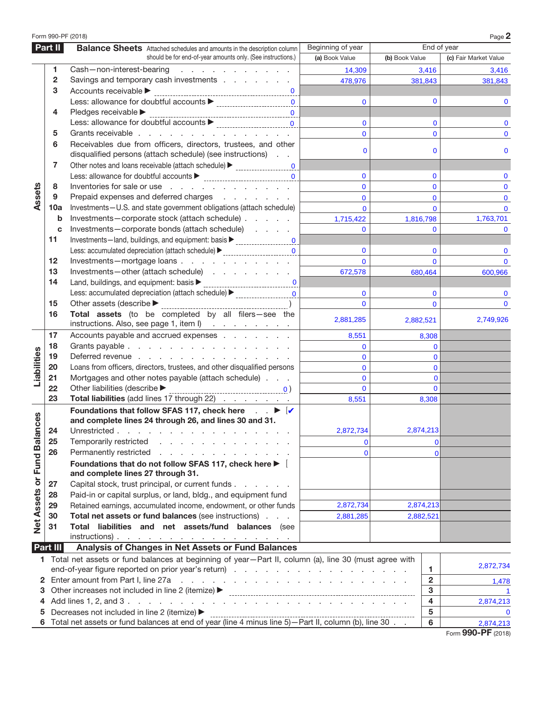|                          |          | Form 990-PF (2018)                                                                                                                                                                                                                  |                   |                         | Page 2                            |  |  |  |
|--------------------------|----------|-------------------------------------------------------------------------------------------------------------------------------------------------------------------------------------------------------------------------------------|-------------------|-------------------------|-----------------------------------|--|--|--|
|                          | Part II  | <b>Balance Sheets</b> Attached schedules and amounts in the description column                                                                                                                                                      | Beginning of year | End of year             |                                   |  |  |  |
|                          |          | should be for end-of-year amounts only. (See instructions.)                                                                                                                                                                         | (a) Book Value    | (b) Book Value          | (c) Fair Market Value             |  |  |  |
|                          | 1        | Cash-non-interest-bearing<br>and a series of the contract of the                                                                                                                                                                    | 14,309            | 3,416                   | 3,416                             |  |  |  |
|                          | 2        | Savings and temporary cash investments                                                                                                                                                                                              | 478,976           | 381,843                 | 381,843                           |  |  |  |
|                          | 3        | Accounts receivable >                                                                                                                                                                                                               |                   |                         |                                   |  |  |  |
|                          |          | $\mathbf{0}$                                                                                                                                                                                                                        | $\mathbf{0}$      | $\Omega$                | 0                                 |  |  |  |
|                          | 4        | Pledges receivable                                                                                                                                                                                                                  |                   |                         |                                   |  |  |  |
|                          |          | $\mathbf{0}$                                                                                                                                                                                                                        | $\mathbf 0$       | 0                       | 0                                 |  |  |  |
|                          | 5        | Grants receivable                                                                                                                                                                                                                   | $\mathbf{0}$      | $\Omega$                | $\Omega$                          |  |  |  |
|                          | 6        | Receivables due from officers, directors, trustees, and other                                                                                                                                                                       |                   |                         |                                   |  |  |  |
|                          |          | disqualified persons (attach schedule) (see instructions)                                                                                                                                                                           | $\mathbf 0$       | 0                       | 0                                 |  |  |  |
|                          | 7        | Other notes and loans receivable (attach schedule)<br><u> Letter context</u> context context of the notes and loans received at a set of the schedule and schedule and schedule and schedule and schedule and schedule and schedule |                   |                         |                                   |  |  |  |
|                          |          | $\Omega$                                                                                                                                                                                                                            | $\mathbf 0$       | $\Omega$                | $\mathbf{0}$                      |  |  |  |
|                          | 8        | Inventories for sale or use                                                                                                                                                                                                         | $\Omega$          | $\Omega$                | $\mathbf{0}$                      |  |  |  |
| Assets                   | 9        | Prepaid expenses and deferred charges                                                                                                                                                                                               | $\mathbf{0}$      | $\Omega$                | $\mathbf 0$                       |  |  |  |
|                          | 10a      | Investments-U.S. and state government obligations (attach schedule)                                                                                                                                                                 | $\Omega$          | $\mathbf{0}$            | $\mathbf{0}$                      |  |  |  |
|                          | b        | Investments-corporate stock (attach schedule)                                                                                                                                                                                       | 1,715,422         | 1,816,798               | 1,763,701                         |  |  |  |
|                          | c        | Investments-corporate bonds (attach schedule)                                                                                                                                                                                       | $\Omega$          | $\Omega$                |                                   |  |  |  |
|                          | 11       | Investments-land, buildings, and equipment: basis > _____________________________                                                                                                                                                   |                   |                         |                                   |  |  |  |
|                          |          | Less: accumulated depreciation (attach schedule) > _____________________________                                                                                                                                                    | $\Omega$          | $\Omega$                | $\mathbf{0}$                      |  |  |  |
|                          | 12       | Investments-mortgage loans                                                                                                                                                                                                          | $\Omega$          | $\Omega$                | $\Omega$                          |  |  |  |
|                          | 13       | Investments-other (attach schedule)                                                                                                                                                                                                 | 672,578           | 680,464                 | 600,966                           |  |  |  |
|                          | 14       | $\mathbf{0}$                                                                                                                                                                                                                        |                   |                         |                                   |  |  |  |
|                          |          | Less: accumulated depreciation (attach schedule) > _____________________________                                                                                                                                                    | $\mathbf 0$       | $\mathbf 0$             | 0                                 |  |  |  |
|                          | 15       | Other assets (describe $\blacktriangleright$                                                                                                                                                                                        | $\Omega$          | $\Omega$                | $\mathbf{0}$                      |  |  |  |
|                          | 16       | Total assets (to be completed by all filers-see the<br>instructions. Also, see page 1, item l)                                                                                                                                      | 2,881,285         | 2,882,521               | 2,749,926                         |  |  |  |
|                          | 17       | Accounts payable and accrued expenses                                                                                                                                                                                               | 8,551             | 8,308                   |                                   |  |  |  |
|                          | 18       | Grants payable                                                                                                                                                                                                                      | $\mathbf{0}$      | $\mathbf{0}$            |                                   |  |  |  |
| Liabilities              | 19       | Deferred revenue                                                                                                                                                                                                                    | $\mathbf{0}$      | $\mathbf{0}$            |                                   |  |  |  |
|                          | 20       | Loans from officers, directors, trustees, and other disqualified persons                                                                                                                                                            | $\mathbf{0}$      | $\mathbf 0$             |                                   |  |  |  |
|                          | 21       | Mortgages and other notes payable (attach schedule)                                                                                                                                                                                 | $\mathbf 0$       | $\mathbf 0$             |                                   |  |  |  |
|                          | 22       | Other liabilities (describe $\blacktriangleright$                                                                                                                                                                                   | $\Omega$          | $\mathbf{0}$            |                                   |  |  |  |
|                          | 23       | <u>0</u> )<br>Total liabilities (add lines 17 through 22)                                                                                                                                                                           | 8,551             | 8,308                   |                                   |  |  |  |
|                          |          | Foundations that follow SFAS 117, check here $\Box$ $\blacktriangleright$ $\Box$                                                                                                                                                    |                   |                         |                                   |  |  |  |
| nces                     |          | and complete lines 24 through 26, and lines 30 and 31.                                                                                                                                                                              |                   |                         |                                   |  |  |  |
|                          |          | 24 Unrestricted                                                                                                                                                                                                                     | 2,872,734         | 2,874,213               |                                   |  |  |  |
| Net Assets or Fund Balar | 25       | Temporarily restricted                                                                                                                                                                                                              | $\Omega$          | 0                       |                                   |  |  |  |
|                          | 26       | Permanently restricted<br>and a state of the state                                                                                                                                                                                  | $\mathbf{0}$      | $\mathbf{0}$            |                                   |  |  |  |
|                          |          | Foundations that do not follow SFAS 117, check here $\blacktriangleright \Box$                                                                                                                                                      |                   |                         |                                   |  |  |  |
|                          |          | and complete lines 27 through 31.                                                                                                                                                                                                   |                   |                         |                                   |  |  |  |
|                          | 27       | Capital stock, trust principal, or current funds                                                                                                                                                                                    |                   |                         |                                   |  |  |  |
|                          | 28       | Paid-in or capital surplus, or land, bldg., and equipment fund                                                                                                                                                                      |                   |                         |                                   |  |  |  |
|                          | 29       | Retained earnings, accumulated income, endowment, or other funds                                                                                                                                                                    | 2,872,734         | 2,874,213               |                                   |  |  |  |
|                          | 30       | Total net assets or fund balances (see instructions)                                                                                                                                                                                | 2,881,285         | 2,882,521               |                                   |  |  |  |
|                          | 31       | Total liabilities and net assets/fund balances (see                                                                                                                                                                                 |                   |                         |                                   |  |  |  |
|                          |          | $instructions)$ .                                                                                                                                                                                                                   |                   |                         |                                   |  |  |  |
|                          | Part III | Analysis of Changes in Net Assets or Fund Balances                                                                                                                                                                                  |                   |                         |                                   |  |  |  |
|                          |          | 1 Total net assets or fund balances at beginning of year-Part II, column (a), line 30 (must agree with                                                                                                                              |                   |                         |                                   |  |  |  |
|                          |          |                                                                                                                                                                                                                                     |                   | 1                       | 2,872,734                         |  |  |  |
|                          |          | 2 Enter amount from Part I, line 27a<br>the contract of the contract of the contract of the contract of the contract of                                                                                                             | $\overline{2}$    | 1,478                   |                                   |  |  |  |
| З                        |          | Other increases not included in line 2 (itemize) ▶                                                                                                                                                                                  |                   | 3                       | -1                                |  |  |  |
| 4                        |          |                                                                                                                                                                                                                                     |                   | $\overline{\mathbf{4}}$ | 2,874,213                         |  |  |  |
| 5                        |          | Decreases not included in line 2 (itemize) ▶                                                                                                                                                                                        | 5                 |                         |                                   |  |  |  |
|                          |          |                                                                                                                                                                                                                                     |                   | 6                       | $\bf{0}$<br>2,874,213             |  |  |  |
|                          |          |                                                                                                                                                                                                                                     |                   |                         | $000 \text{ } \text{DE}$ $(0010)$ |  |  |  |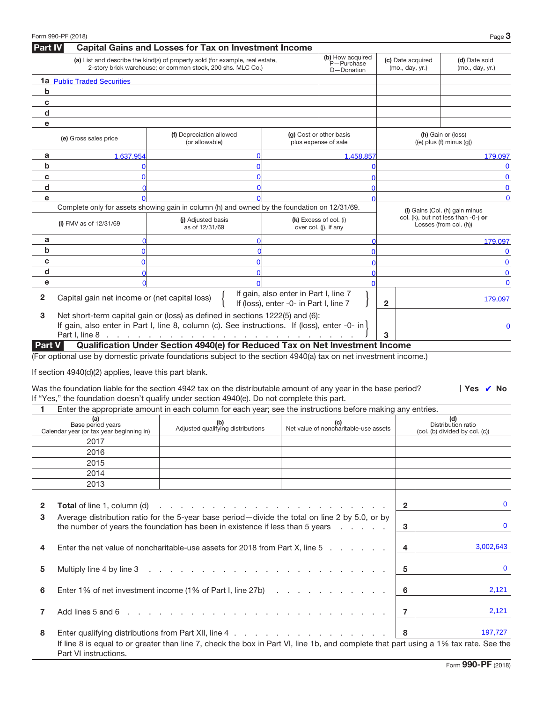|                | Form 990-PF (2018)                                            |                                                                                                                                                                                                                                                                                                                                 |                                                                                 |                                                 |                                      | Page $3$                                                      |  |  |  |
|----------------|---------------------------------------------------------------|---------------------------------------------------------------------------------------------------------------------------------------------------------------------------------------------------------------------------------------------------------------------------------------------------------------------------------|---------------------------------------------------------------------------------|-------------------------------------------------|--------------------------------------|---------------------------------------------------------------|--|--|--|
| <b>Part IV</b> |                                                               | <b>Capital Gains and Losses for Tax on Investment Income</b>                                                                                                                                                                                                                                                                    |                                                                                 |                                                 |                                      |                                                               |  |  |  |
|                |                                                               | (a) List and describe the kind(s) of property sold (for example, real estate,<br>2-story brick warehouse; or common stock, 200 shs. MLC Co.)                                                                                                                                                                                    |                                                                                 | (b) How acquired<br>P-Purchase<br>D-Donation    | (c) Date acquired<br>(mo., day, yr.) | (d) Date sold<br>(mo., day, yr.)                              |  |  |  |
|                | <b>1a</b> Public Traded Securities                            |                                                                                                                                                                                                                                                                                                                                 |                                                                                 |                                                 |                                      |                                                               |  |  |  |
| b              |                                                               |                                                                                                                                                                                                                                                                                                                                 |                                                                                 |                                                 |                                      |                                                               |  |  |  |
| C              |                                                               |                                                                                                                                                                                                                                                                                                                                 |                                                                                 |                                                 |                                      |                                                               |  |  |  |
| d              |                                                               |                                                                                                                                                                                                                                                                                                                                 |                                                                                 |                                                 |                                      |                                                               |  |  |  |
| e              |                                                               |                                                                                                                                                                                                                                                                                                                                 |                                                                                 |                                                 |                                      |                                                               |  |  |  |
|                | (e) Gross sales price                                         | (f) Depreciation allowed<br>(or allowable)                                                                                                                                                                                                                                                                                      |                                                                                 | (g) Cost or other basis<br>plus expense of sale |                                      | (h) Gain or (loss)<br>$((e)$ plus $(f)$ minus $(q)$ )         |  |  |  |
| a              | 1,637,954                                                     |                                                                                                                                                                                                                                                                                                                                 |                                                                                 | 1,458,857                                       |                                      | 179,097                                                       |  |  |  |
| b              |                                                               |                                                                                                                                                                                                                                                                                                                                 |                                                                                 |                                                 |                                      | 0                                                             |  |  |  |
| c              |                                                               |                                                                                                                                                                                                                                                                                                                                 |                                                                                 |                                                 |                                      | $\bf{0}$                                                      |  |  |  |
| d              |                                                               |                                                                                                                                                                                                                                                                                                                                 |                                                                                 |                                                 |                                      | 0                                                             |  |  |  |
| е              |                                                               |                                                                                                                                                                                                                                                                                                                                 |                                                                                 |                                                 |                                      | $\mathbf 0$                                                   |  |  |  |
|                |                                                               | Complete only for assets showing gain in column (h) and owned by the foundation on 12/31/69.                                                                                                                                                                                                                                    |                                                                                 |                                                 |                                      | (I) Gains (Col. (h) gain minus                                |  |  |  |
|                | (i) FMV as of $12/31/69$                                      | (i) Adjusted basis<br>as of 12/31/69                                                                                                                                                                                                                                                                                            |                                                                                 | (k) Excess of col. (i)<br>over col. (j), if any |                                      | col. (k), but not less than -0-) or<br>Losses (from col. (h)) |  |  |  |
| a              |                                                               |                                                                                                                                                                                                                                                                                                                                 |                                                                                 |                                                 |                                      | 179,097                                                       |  |  |  |
| b              | n                                                             |                                                                                                                                                                                                                                                                                                                                 |                                                                                 |                                                 |                                      |                                                               |  |  |  |
| c              | U                                                             |                                                                                                                                                                                                                                                                                                                                 |                                                                                 |                                                 |                                      | $\mathbf 0$                                                   |  |  |  |
| d              |                                                               |                                                                                                                                                                                                                                                                                                                                 |                                                                                 |                                                 |                                      | 0                                                             |  |  |  |
| е              |                                                               |                                                                                                                                                                                                                                                                                                                                 |                                                                                 |                                                 |                                      | $\mathbf{0}$                                                  |  |  |  |
| 2              | Capital gain net income or (net capital loss)                 |                                                                                                                                                                                                                                                                                                                                 | If gain, also enter in Part I, line 7<br>If (loss), enter -0- in Part I, line 7 |                                                 | $\mathbf{2}$                         | 179,097                                                       |  |  |  |
| 3              |                                                               | Net short-term capital gain or (loss) as defined in sections 1222(5) and (6):<br>If gain, also enter in Part I, line 8, column (c). See instructions. If (loss), enter -0- in                                                                                                                                                   |                                                                                 |                                                 |                                      | 0                                                             |  |  |  |
|                |                                                               | Part I, line 8 <u>.</u><br>Qualification Under Section 4940(e) for Reduced Tax on Net Investment Income                                                                                                                                                                                                                         |                                                                                 |                                                 | 3                                    |                                                               |  |  |  |
|                | If section 4940(d)(2) applies, leave this part blank.         | (For optional use by domestic private foundations subject to the section 4940(a) tax on net investment income.)<br>Was the foundation liable for the section 4942 tax on the distributable amount of any year in the base period?<br>If "Yes," the foundation doesn't qualify under section 4940(e). Do not complete this part. |                                                                                 |                                                 |                                      | $\Box$ Yes $\Box$ No                                          |  |  |  |
| 1.             |                                                               | Enter the appropriate amount in each column for each year; see the instructions before making any entries.                                                                                                                                                                                                                      |                                                                                 |                                                 |                                      |                                                               |  |  |  |
|                | (a)                                                           |                                                                                                                                                                                                                                                                                                                                 |                                                                                 |                                                 |                                      | (d)                                                           |  |  |  |
|                | Base period years<br>Calendar year (or tax year beginning in) | (b)<br>Adjusted qualifying distributions                                                                                                                                                                                                                                                                                        |                                                                                 | Net value of noncharitable-use assets           |                                      | Distribution ratio<br>(col. (b) divided by col. (c))          |  |  |  |
|                | 2017                                                          |                                                                                                                                                                                                                                                                                                                                 |                                                                                 |                                                 |                                      |                                                               |  |  |  |
|                | 2016                                                          |                                                                                                                                                                                                                                                                                                                                 |                                                                                 |                                                 |                                      |                                                               |  |  |  |
|                | 2015                                                          |                                                                                                                                                                                                                                                                                                                                 |                                                                                 |                                                 |                                      |                                                               |  |  |  |
|                | 2014                                                          |                                                                                                                                                                                                                                                                                                                                 |                                                                                 |                                                 |                                      |                                                               |  |  |  |
|                | 2013                                                          |                                                                                                                                                                                                                                                                                                                                 |                                                                                 |                                                 |                                      |                                                               |  |  |  |
|                |                                                               |                                                                                                                                                                                                                                                                                                                                 |                                                                                 |                                                 |                                      |                                                               |  |  |  |
| 2              | <b>Total</b> of line 1, column (d)                            | and a construction of the construction of the construction of the construction of the construction of the construction of the construction of the construction of the construction of the construction of the construction of                                                                                                   |                                                                                 |                                                 | $\overline{2}$                       | 0                                                             |  |  |  |
| 3              |                                                               | Average distribution ratio for the 5-year base period-divide the total on line 2 by 5.0, or by<br>the number of years the foundation has been in existence if less than 5 years                                                                                                                                                 |                                                                                 |                                                 | 3                                    | $\bf{0}$                                                      |  |  |  |
| 4              |                                                               | Enter the net value of noncharitable-use assets for 2018 from Part X, line 5                                                                                                                                                                                                                                                    |                                                                                 |                                                 | 4                                    | 3,002,643                                                     |  |  |  |
| 5              | Multiply line 4 by line 3                                     | 5                                                                                                                                                                                                                                                                                                                               | $\bf{0}$                                                                        |                                                 |                                      |                                                               |  |  |  |
| 6              |                                                               | Enter 1% of net investment income (1% of Part I, line 27b)                                                                                                                                                                                                                                                                      |                                                                                 |                                                 | 6                                    | 2,121                                                         |  |  |  |
| 7              | Add lines 5 and 6                                             | the second contract of the second contract of the second contract of the second contract of the second contract of the second contract of the second contract of the second contract of the second contract of the second cont                                                                                                  |                                                                                 |                                                 | $\overline{7}$                       | 2,121                                                         |  |  |  |
| 8              |                                                               | Enter qualifying distributions from Part XII, line 4                                                                                                                                                                                                                                                                            |                                                                                 |                                                 | 8                                    | 197,727                                                       |  |  |  |
|                | Part VI instructions.                                         | If line 8 is equal to or greater than line 7, check the box in Part VI, line 1b, and complete that part using a 1% tax rate. See the                                                                                                                                                                                            |                                                                                 |                                                 |                                      |                                                               |  |  |  |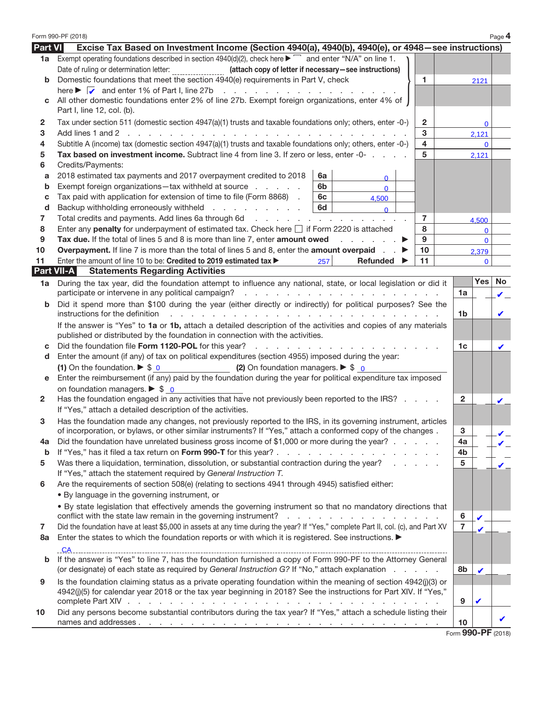|                   | Form 990-PF (2018)                                                                                                                                                                                                                   |                          |                    | Page 4                   |  |  |  |  |  |  |  |
|-------------------|--------------------------------------------------------------------------------------------------------------------------------------------------------------------------------------------------------------------------------------|--------------------------|--------------------|--------------------------|--|--|--|--|--|--|--|
| Part VI           | Excise Tax Based on Investment Income (Section 4940(a), 4940(b), 4940(e), or 4948–see instructions)                                                                                                                                  |                          |                    |                          |  |  |  |  |  |  |  |
|                   | 1a Exempt operating foundations described in section $4940(d)(2)$ , check here $\blacktriangleright \Box$ and enter "N/A" on line 1.                                                                                                 |                          |                    |                          |  |  |  |  |  |  |  |
|                   | Date of ruling or determination letter:<br>(attach copy of letter if necessary-see instructions)                                                                                                                                     |                          |                    |                          |  |  |  |  |  |  |  |
| b                 | Domestic foundations that meet the section 4940(e) requirements in Part V, check<br>1.                                                                                                                                               |                          | 2121               |                          |  |  |  |  |  |  |  |
|                   | here $\blacktriangleright \Box$ and enter 1% of Part I, line 27b<br>the contract of the contract of the                                                                                                                              |                          |                    |                          |  |  |  |  |  |  |  |
| C                 | All other domestic foundations enter 2% of line 27b. Exempt foreign organizations, enter 4% of<br>Part I, line 12, col. (b).                                                                                                         |                          |                    |                          |  |  |  |  |  |  |  |
|                   |                                                                                                                                                                                                                                      |                          |                    |                          |  |  |  |  |  |  |  |
| 2                 | Tax under section 511 (domestic section 4947(a)(1) trusts and taxable foundations only; others, enter -0-)<br>2<br>3<br>Add lines 1 and 2<br>and the con-                                                                            |                          | 0<br>2,121         |                          |  |  |  |  |  |  |  |
| З<br>4            |                                                                                                                                                                                                                                      |                          |                    |                          |  |  |  |  |  |  |  |
| 5                 | Subtitle A (income) tax (domestic section 4947(a)(1) trusts and taxable foundations only; others, enter -0-)<br>4<br>5<br>Tax based on investment income. Subtract line 4 from line 3. If zero or less, enter -0-                    |                          |                    |                          |  |  |  |  |  |  |  |
| 6                 | Credits/Payments:                                                                                                                                                                                                                    |                          | 2,121              |                          |  |  |  |  |  |  |  |
| a                 | 2018 estimated tax payments and 2017 overpayment credited to 2018<br>6а<br>$\Omega$                                                                                                                                                  |                          |                    |                          |  |  |  |  |  |  |  |
| b                 | Exempt foreign organizations-tax withheld at source<br>6b<br>$\mathbf{0}$                                                                                                                                                            |                          |                    |                          |  |  |  |  |  |  |  |
| c                 | Tax paid with application for extension of time to file (Form 8868).<br>6с<br>4,500                                                                                                                                                  |                          |                    |                          |  |  |  |  |  |  |  |
| d                 | 6d<br>Backup withholding erroneously withheld<br>$\Omega$                                                                                                                                                                            |                          |                    |                          |  |  |  |  |  |  |  |
| 7                 | Total credits and payments. Add lines 6a through 6d<br>7                                                                                                                                                                             |                          | 4,500              |                          |  |  |  |  |  |  |  |
| 8                 | Enter any penalty for underpayment of estimated tax. Check here □ if Form 2220 is attached<br>8                                                                                                                                      |                          | $\mathbf 0$        |                          |  |  |  |  |  |  |  |
| 9                 | Tax due. If the total of lines 5 and 8 is more than line 7, enter amount owed<br>9                                                                                                                                                   |                          | $\mathbf{0}$       |                          |  |  |  |  |  |  |  |
| 10                | <b>Overpayment.</b> If line 7 is more than the total of lines 5 and 8, enter the <b>amount overpaid</b><br>10 <sup>1</sup>                                                                                                           |                          | 2,379              |                          |  |  |  |  |  |  |  |
| 11                | 11<br>Enter the amount of line 10 to be: Credited to 2019 estimated tax ►<br>257<br>Refunded                                                                                                                                         |                          | $\mathbf{0}$       |                          |  |  |  |  |  |  |  |
| <b>Part VII-A</b> | <b>Statements Regarding Activities</b>                                                                                                                                                                                               |                          |                    |                          |  |  |  |  |  |  |  |
| 1a                | During the tax year, did the foundation attempt to influence any national, state, or local legislation or did it                                                                                                                     |                          | Yes                | No                       |  |  |  |  |  |  |  |
|                   | participate or intervene in any political campaign?<br>the contract of the contract of the contract of                                                                                                                               | 1a                       |                    | ا⊽ا                      |  |  |  |  |  |  |  |
| b                 | Did it spend more than \$100 during the year (either directly or indirectly) for political purposes? See the<br>instructions for the definition                                                                                      |                          |                    | $\mathbf{v}$             |  |  |  |  |  |  |  |
|                   | If the answer is "Yes" to 1a or 1b, attach a detailed description of the activities and copies of any materials                                                                                                                      | 1b                       |                    |                          |  |  |  |  |  |  |  |
|                   | published or distributed by the foundation in connection with the activities.                                                                                                                                                        |                          |                    |                          |  |  |  |  |  |  |  |
| с                 | Did the foundation file Form 1120-POL for this year?<br>and the contract of the contract of                                                                                                                                          | 1c                       |                    | $\overline{v}$           |  |  |  |  |  |  |  |
| d                 | Enter the amount (if any) of tax on political expenditures (section 4955) imposed during the year:                                                                                                                                   |                          |                    |                          |  |  |  |  |  |  |  |
|                   | (1) On the foundation. $\triangleright$ \$ 0<br>(2) On foundation managers. $\triangleright$ \$ 0                                                                                                                                    |                          |                    |                          |  |  |  |  |  |  |  |
| е                 | Enter the reimbursement (if any) paid by the foundation during the year for political expenditure tax imposed                                                                                                                        |                          |                    |                          |  |  |  |  |  |  |  |
|                   | on foundation managers. $\triangleright$ \$ 0                                                                                                                                                                                        |                          |                    |                          |  |  |  |  |  |  |  |
| 2                 | Has the foundation engaged in any activities that have not previously been reported to the IRS?                                                                                                                                      | 2                        |                    | $\overline{v}$           |  |  |  |  |  |  |  |
|                   | If "Yes," attach a detailed description of the activities.                                                                                                                                                                           |                          |                    |                          |  |  |  |  |  |  |  |
| З                 | Has the foundation made any changes, not previously reported to the IRS, in its governing instrument, articles                                                                                                                       |                          |                    |                          |  |  |  |  |  |  |  |
|                   | of incorporation, or bylaws, or other similar instruments? If "Yes," attach a conformed copy of the changes.                                                                                                                         | 3                        |                    | $\mathcal{L}$            |  |  |  |  |  |  |  |
| 4a                | Did the foundation have unrelated business gross income of \$1,000 or more during the year?                                                                                                                                          | 4a                       |                    | $\mathbf{v}$             |  |  |  |  |  |  |  |
| b                 |                                                                                                                                                                                                                                      | 4b                       |                    |                          |  |  |  |  |  |  |  |
| 5                 | Was there a liquidation, termination, dissolution, or substantial contraction during the year?                                                                                                                                       | 5                        |                    | $\overline{\mathcal{U}}$ |  |  |  |  |  |  |  |
|                   | If "Yes," attach the statement required by General Instruction T.                                                                                                                                                                    |                          |                    |                          |  |  |  |  |  |  |  |
| 6                 | Are the requirements of section 508(e) (relating to sections 4941 through 4945) satisfied either:                                                                                                                                    |                          |                    |                          |  |  |  |  |  |  |  |
|                   | . By language in the governing instrument, or                                                                                                                                                                                        |                          |                    |                          |  |  |  |  |  |  |  |
|                   | . By state legislation that effectively amends the governing instrument so that no mandatory directions that<br>conflict with the state law remain in the governing instrument? $\ldots$ , $\ldots$ , $\ldots$ , $\ldots$ , $\ldots$ | 6                        |                    |                          |  |  |  |  |  |  |  |
| 7                 | Did the foundation have at least \$5,000 in assets at any time during the year? If "Yes," complete Part II, col. (c), and Part XV                                                                                                    | $\overline{7}$           |                    | $\Box$<br>П              |  |  |  |  |  |  |  |
| 8a                | Enter the states to which the foundation reports or with which it is registered. See instructions.                                                                                                                                   |                          | $\overline{\nu}$ . |                          |  |  |  |  |  |  |  |
|                   |                                                                                                                                                                                                                                      |                          |                    |                          |  |  |  |  |  |  |  |
| b                 | If the answer is "Yes" to line 7, has the foundation furnished a copy of Form 990-PF to the Attorney General                                                                                                                         |                          |                    |                          |  |  |  |  |  |  |  |
|                   | (or designate) of each state as required by General Instruction G? If "No," attach explanation                                                                                                                                       | 8b                       | $\overline{v}$     |                          |  |  |  |  |  |  |  |
| 9                 | Is the foundation claiming status as a private operating foundation within the meaning of section 4942(j)(3) or                                                                                                                      |                          |                    |                          |  |  |  |  |  |  |  |
|                   | 4942(j)(5) for calendar year 2018 or the tax year beginning in 2018? See the instructions for Part XIV. If "Yes,"                                                                                                                    |                          |                    |                          |  |  |  |  |  |  |  |
|                   |                                                                                                                                                                                                                                      | 9                        | $\mathbf{v}$       |                          |  |  |  |  |  |  |  |
| 10                | Did any persons become substantial contributors during the tax year? If "Yes," attach a schedule listing their                                                                                                                       |                          |                    |                          |  |  |  |  |  |  |  |
|                   |                                                                                                                                                                                                                                      | 10<br>Eorm 990-PF (2018) |                    | $\mathbf{v}$             |  |  |  |  |  |  |  |
|                   |                                                                                                                                                                                                                                      |                          |                    |                          |  |  |  |  |  |  |  |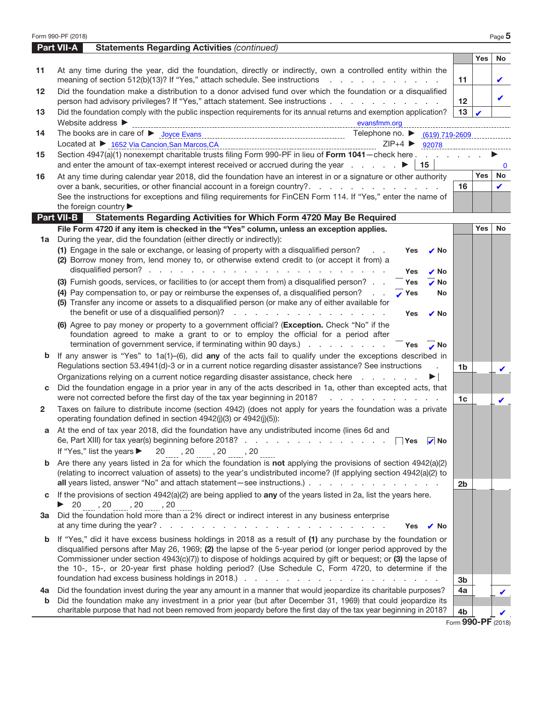|              | Form 990-PF (2018)                                                                                                                                                                                  |                    |            | Page 5        |
|--------------|-----------------------------------------------------------------------------------------------------------------------------------------------------------------------------------------------------|--------------------|------------|---------------|
|              | <b>Part VII-A</b><br><b>Statements Regarding Activities (continued)</b>                                                                                                                             |                    |            |               |
|              |                                                                                                                                                                                                     |                    | <b>Yes</b> | <b>No</b>     |
| 11           | At any time during the year, did the foundation, directly or indirectly, own a controlled entity within the<br>meaning of section 512(b)(13)? If "Yes," attach schedule. See instructions           | 11                 |            | Ŀ.            |
| 12           | Did the foundation make a distribution to a donor advised fund over which the foundation or a disqualified<br>person had advisory privileges? If "Yes," attach statement. See instructions          | 12                 |            | $\mathbf{v}$  |
| 13           | Did the foundation comply with the public inspection requirements for its annual returns and exemption application?<br>Website address ▶<br>evansfmm.org                                            | 13                 |            |               |
| 14           | Telephone no. ▶ (619) 719-2609                                                                                                                                                                      |                    |            |               |
|              | Located at ▶ 1652 Via Cancion, San Marcos, CA<br>$ZIP+4$<br>92078                                                                                                                                   |                    |            |               |
| 15           | Section 4947(a)(1) nonexempt charitable trusts filing Form 990-PF in lieu of Form 1041-check here.                                                                                                  |                    |            |               |
|              | 15                                                                                                                                                                                                  |                    |            | $\Omega$      |
| 16           | At any time during calendar year 2018, did the foundation have an interest in or a signature or other authority                                                                                     |                    | Yes        | No            |
|              | over a bank, securities, or other financial account in a foreign country?                                                                                                                           | 16                 |            | $\mathcal{L}$ |
|              | See the instructions for exceptions and filing requirements for FinCEN Form 114. If "Yes," enter the name of                                                                                        |                    |            |               |
|              | the foreign country<br>Part VII-B<br>Statements Regarding Activities for Which Form 4720 May Be Required                                                                                            |                    |            |               |
|              | File Form 4720 if any item is checked in the "Yes" column, unless an exception applies.                                                                                                             |                    | <b>Yes</b> | <b>No</b>     |
| 1a           | During the year, did the foundation (either directly or indirectly):                                                                                                                                |                    |            |               |
|              | (1) Engage in the sale or exchange, or leasing of property with a disqualified person?<br>lYes<br>No                                                                                                |                    |            |               |
|              | (2) Borrow money from, lend money to, or otherwise extend credit to (or accept it from) a                                                                                                           |                    |            |               |
|              | Yes<br>No                                                                                                                                                                                           |                    |            |               |
|              | (3) Furnish goods, services, or facilities to (or accept them from) a disqualified person?<br><b>Yes</b><br>., No                                                                                   |                    |            |               |
|              | (4) Pay compensation to, or pay or reimburse the expenses of, a disqualified person?<br>Yes<br>No                                                                                                   |                    |            |               |
|              | (5) Transfer any income or assets to a disqualified person (or make any of either available for                                                                                                     |                    |            |               |
|              | the benefit or use of a disqualified person)?<br>Yes<br>l v No                                                                                                                                      |                    |            |               |
|              | (6) Agree to pay money or property to a government official? (Exception. Check "No" if the                                                                                                          |                    |            |               |
|              | foundation agreed to make a grant to or to employ the official for a period after                                                                                                                   |                    |            |               |
|              | termination of government service, if terminating within 90 days.)<br>lYes<br>No                                                                                                                    |                    |            |               |
| b            | If any answer is "Yes" to $1a(1)$ -(6), did any of the acts fail to qualify under the exceptions described in                                                                                       |                    |            |               |
|              | Regulations section 53.4941(d)-3 or in a current notice regarding disaster assistance? See instructions                                                                                             | 1b                 |            |               |
|              | Organizations relying on a current notice regarding disaster assistance, check here<br>Did the foundation engage in a prior year in any of the acts described in 1a, other than excepted acts, that |                    |            |               |
|              | were not corrected before the first day of the tax year beginning in 2018?<br>and the company of the company of                                                                                     |                    |            |               |
| $\mathbf{2}$ | Taxes on failure to distribute income (section 4942) (does not apply for years the foundation was a private                                                                                         | 1 <sub>c</sub>     |            | $\mathcal{L}$ |
|              | operating foundation defined in section 4942(j)(3) or 4942(j)(5)):                                                                                                                                  |                    |            |               |
|              | At the end of tax year 2018, did the foundation have any undistributed income (lines 6d and<br>6e, Part XIII) for tax year(s) beginning before 2018?<br>$\Box$ Yes<br>l⊡ No                         |                    |            |               |
|              | $20$ , $20$ , $20$ , $20$<br>If "Yes," list the years ▶                                                                                                                                             |                    |            |               |
| b            | Are there any years listed in 2a for which the foundation is not applying the provisions of section $4942(a)(2)$                                                                                    |                    |            |               |
|              | (relating to incorrect valuation of assets) to the year's undistributed income? (If applying section 4942(a)(2) to                                                                                  |                    |            |               |
|              | all years listed, answer "No" and attach statement-see instructions.)                                                                                                                               | 2 <sub>b</sub>     |            |               |
| c            | If the provisions of section $4942(a)(2)$ are being applied to any of the years listed in 2a, list the years here.                                                                                  |                    |            |               |
|              | $\triangleright$ 20 , 20 , 20 , 20                                                                                                                                                                  |                    |            |               |
| За           | Did the foundation hold more than a 2% direct or indirect interest in any business enterprise                                                                                                       |                    |            |               |
|              | Yes<br>$\boldsymbol{v}$ No                                                                                                                                                                          |                    |            |               |
|              | <b>b</b> If "Yes," did it have excess business holdings in 2018 as a result of (1) any purchase by the foundation or                                                                                |                    |            |               |
|              | disqualified persons after May 26, 1969; (2) the lapse of the 5-year period (or longer period approved by the                                                                                       |                    |            |               |
|              | Commissioner under section 4943(c)(7)) to dispose of holdings acquired by gift or bequest; or (3) the lapse of                                                                                      |                    |            |               |
|              | the 10-, 15-, or 20-year first phase holding period? (Use Schedule C, Form 4720, to determine if the                                                                                                |                    |            |               |
|              |                                                                                                                                                                                                     | 3 <sub>b</sub>     |            |               |
| 4a           | Did the foundation invest during the year any amount in a manner that would jeopardize its charitable purposes?                                                                                     | 4a                 |            |               |
| b            | Did the foundation make any investment in a prior year (but after December 31, 1969) that could jeopardize its                                                                                      |                    |            |               |
|              | charitable purpose that had not been removed from jeopardy before the first day of the tax year beginning in 2018?                                                                                  | 4b                 |            |               |
|              |                                                                                                                                                                                                     | Form 990-PF (2018) |            |               |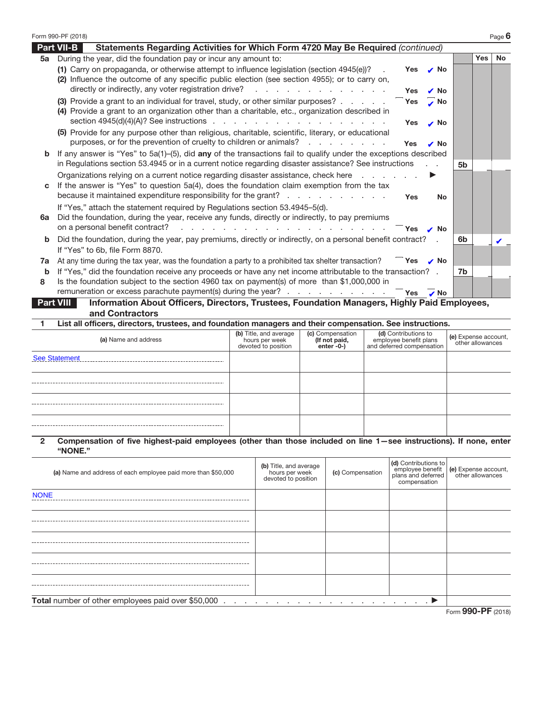|              | Form 990-PF (2018)                                                                                                                                                       |                                                                 |                                                 |  |                                                                                |        |                                          | Page 6 |
|--------------|--------------------------------------------------------------------------------------------------------------------------------------------------------------------------|-----------------------------------------------------------------|-------------------------------------------------|--|--------------------------------------------------------------------------------|--------|------------------------------------------|--------|
|              | Statements Regarding Activities for Which Form 4720 May Be Required (continued)<br><b>Part VII-B</b>                                                                     |                                                                 |                                                 |  |                                                                                |        |                                          |        |
|              | 5a During the year, did the foundation pay or incur any amount to:                                                                                                       |                                                                 |                                                 |  |                                                                                |        | Yes                                      | No     |
|              | (1) Carry on propaganda, or otherwise attempt to influence legislation (section 4945(e))?                                                                                |                                                                 |                                                 |  | Yes                                                                            | No     |                                          |        |
|              | (2) Influence the outcome of any specific public election (see section 4955); or to carry on,<br>directly or indirectly, any voter registration drive?                   | and a straightful contract and a straight                       |                                                 |  |                                                                                |        |                                          |        |
|              | (3) Provide a grant to an individual for travel, study, or other similar purposes?                                                                                       |                                                                 |                                                 |  | l Yes                                                                          | l No   |                                          |        |
|              | (4) Provide a grant to an organization other than a charitable, etc., organization described in                                                                          |                                                                 |                                                 |  | Yes                                                                            | No     |                                          |        |
|              | section $4945(d)(4)(A)?$ See instructions                                                                                                                                |                                                                 |                                                 |  | <b>Yes</b>                                                                     | l No   |                                          |        |
|              | (5) Provide for any purpose other than religious, charitable, scientific, literary, or educational<br>purposes, or for the prevention of cruelty to children or animals? |                                                                 |                                                 |  | l lYes                                                                         | No     |                                          |        |
| b            | If any answer is "Yes" to 5a(1)–(5), did any of the transactions fail to qualify under the exceptions described                                                          |                                                                 |                                                 |  |                                                                                |        |                                          |        |
|              | in Regulations section 53.4945 or in a current notice regarding disaster assistance? See instructions                                                                    |                                                                 |                                                 |  |                                                                                | 5b     |                                          |        |
|              | Organizations relying on a current notice regarding disaster assistance, check here                                                                                      |                                                                 |                                                 |  |                                                                                |        |                                          |        |
| С            | If the answer is "Yes" to question 5a(4), does the foundation claim exemption from the tax                                                                               |                                                                 |                                                 |  |                                                                                |        |                                          |        |
|              | because it maintained expenditure responsibility for the grant?                                                                                                          |                                                                 |                                                 |  | Yes                                                                            | No     |                                          |        |
|              | If "Yes," attach the statement required by Regulations section 53.4945-5(d).                                                                                             |                                                                 |                                                 |  |                                                                                |        |                                          |        |
| 6а           | Did the foundation, during the year, receive any funds, directly or indirectly, to pay premiums                                                                          |                                                                 |                                                 |  |                                                                                |        |                                          |        |
|              | on a personal benefit contract?<br>the contract of the contract of the                                                                                                   |                                                                 |                                                 |  | Yes                                                                            | ., INo |                                          |        |
| b            | Did the foundation, during the year, pay premiums, directly or indirectly, on a personal benefit contract?                                                               |                                                                 |                                                 |  |                                                                                | 6b     |                                          |        |
|              | If "Yes" to 6b, file Form 8870.<br>At any time during the tax year, was the foundation a party to a prohibited tax shelter transaction?                                  |                                                                 |                                                 |  | $\Box$ Yes                                                                     |        |                                          |        |
| 7а<br>b      | If "Yes," did the foundation receive any proceeds or have any net income attributable to the transaction? .                                                              |                                                                 |                                                 |  | No ایر ا                                                                       |        | 7b                                       |        |
| 8            | Is the foundation subject to the section 4960 tax on payment(s) of more than \$1,000,000 in                                                                              |                                                                 |                                                 |  |                                                                                |        |                                          |        |
|              | remuneration or excess parachute payment(s) during the year?                                                                                                             |                                                                 |                                                 |  | Yes<br>∴ No                                                                    |        |                                          |        |
|              | Information About Officers, Directors, Trustees, Foundation Managers, Highly Paid Employees,<br><b>Part VIII</b>                                                         |                                                                 |                                                 |  |                                                                                |        |                                          |        |
|              | and Contractors                                                                                                                                                          |                                                                 |                                                 |  |                                                                                |        |                                          |        |
| 1            | List all officers, directors, trustees, and foundation managers and their compensation. See instructions.                                                                |                                                                 |                                                 |  |                                                                                |        |                                          |        |
|              | (a) Name and address                                                                                                                                                     | (b) Title, and average<br>hours per week<br>devoted to position | (c) Compensation<br>(If not paid,<br>enter -0-) |  | (d) Contributions to<br>employee benefit plans<br>and deferred compensation    |        | (e) Expense account,<br>other allowances |        |
|              | <b>See Statement</b>                                                                                                                                                     |                                                                 |                                                 |  |                                                                                |        |                                          |        |
|              |                                                                                                                                                                          |                                                                 |                                                 |  |                                                                                |        |                                          |        |
|              |                                                                                                                                                                          |                                                                 |                                                 |  |                                                                                |        |                                          |        |
|              |                                                                                                                                                                          |                                                                 |                                                 |  |                                                                                |        |                                          |        |
|              |                                                                                                                                                                          |                                                                 |                                                 |  |                                                                                |        |                                          |        |
|              |                                                                                                                                                                          |                                                                 |                                                 |  |                                                                                |        |                                          |        |
|              |                                                                                                                                                                          |                                                                 |                                                 |  |                                                                                |        |                                          |        |
| $\mathbf{2}$ | Compensation of five highest-paid employees (other than those included on line 1-see instructions). If none, enter<br>"NONE."                                            |                                                                 |                                                 |  |                                                                                |        |                                          |        |
|              | (a) Name and address of each employee paid more than \$50,000                                                                                                            | (b) Title, and average<br>hours per week<br>devoted to position | (c) Compensation                                |  | (d) Contributions to<br>employee benefit<br>plans and deferred<br>compensation |        | (e) Expense account,<br>other allowances |        |
| <b>NONE</b>  |                                                                                                                                                                          |                                                                 |                                                 |  |                                                                                |        |                                          |        |
|              |                                                                                                                                                                          |                                                                 |                                                 |  |                                                                                |        |                                          |        |
|              |                                                                                                                                                                          |                                                                 |                                                 |  |                                                                                |        |                                          |        |
|              |                                                                                                                                                                          |                                                                 |                                                 |  |                                                                                |        |                                          |        |
|              |                                                                                                                                                                          |                                                                 |                                                 |  |                                                                                |        |                                          |        |

**Total** number of other employees paid over \$50,000 .................... a

| Form 990-PF (2018) |
|--------------------|
|                    |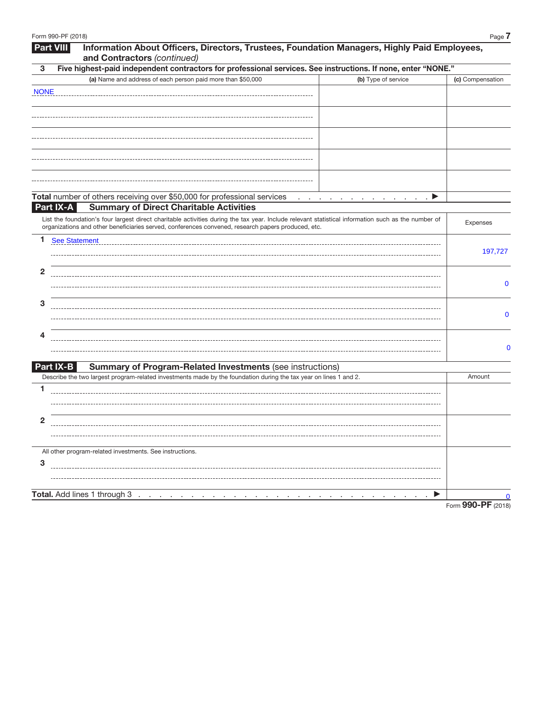| 3            | and Contractors (continued)<br>Five highest-paid independent contractors for professional services. See instructions. If none, enter "NONE."                                                                                                              |                    |
|--------------|-----------------------------------------------------------------------------------------------------------------------------------------------------------------------------------------------------------------------------------------------------------|--------------------|
|              | (a) Name and address of each person paid more than \$50,000<br>(b) Type of service                                                                                                                                                                        | (c) Compensation   |
| <b>NONE</b>  |                                                                                                                                                                                                                                                           |                    |
|              |                                                                                                                                                                                                                                                           |                    |
|              |                                                                                                                                                                                                                                                           |                    |
|              |                                                                                                                                                                                                                                                           |                    |
|              |                                                                                                                                                                                                                                                           |                    |
|              |                                                                                                                                                                                                                                                           |                    |
|              |                                                                                                                                                                                                                                                           |                    |
|              |                                                                                                                                                                                                                                                           |                    |
|              |                                                                                                                                                                                                                                                           |                    |
| Part IX-A    | Total number of others receiving over \$50,000 for professional services<br>▶<br><b>Service Control</b><br><b>Service</b><br><b>Summary of Direct Charitable Activities</b>                                                                               |                    |
|              |                                                                                                                                                                                                                                                           |                    |
|              | List the foundation's four largest direct charitable activities during the tax year. Include relevant statistical information such as the number of<br>organizations and other beneficiaries served, conferences convened, research papers produced, etc. | Expenses           |
| 1.           | <b>See Statement</b>                                                                                                                                                                                                                                      |                    |
|              |                                                                                                                                                                                                                                                           | 197,727            |
|              |                                                                                                                                                                                                                                                           |                    |
| $\mathbf{2}$ |                                                                                                                                                                                                                                                           |                    |
|              |                                                                                                                                                                                                                                                           | $\mathbf 0$        |
| 3            |                                                                                                                                                                                                                                                           |                    |
|              |                                                                                                                                                                                                                                                           | 0                  |
|              |                                                                                                                                                                                                                                                           |                    |
| 4            |                                                                                                                                                                                                                                                           |                    |
|              |                                                                                                                                                                                                                                                           | 0                  |
| Part IX-B    | <b>Summary of Program-Related Investments (see instructions)</b>                                                                                                                                                                                          |                    |
|              | Describe the two largest program-related investments made by the foundation during the tax year on lines 1 and 2.                                                                                                                                         | Amount             |
| 1            |                                                                                                                                                                                                                                                           |                    |
|              |                                                                                                                                                                                                                                                           |                    |
|              |                                                                                                                                                                                                                                                           |                    |
| $\mathbf 2$  |                                                                                                                                                                                                                                                           |                    |
|              |                                                                                                                                                                                                                                                           |                    |
|              | All other program-related investments. See instructions.                                                                                                                                                                                                  |                    |
| 3            |                                                                                                                                                                                                                                                           |                    |
|              |                                                                                                                                                                                                                                                           |                    |
|              |                                                                                                                                                                                                                                                           |                    |
|              | Total. Add lines 1 through 3 .                                                                                                                                                                                                                            | $\Omega$           |
|              |                                                                                                                                                                                                                                                           | Form 990-PF (2018) |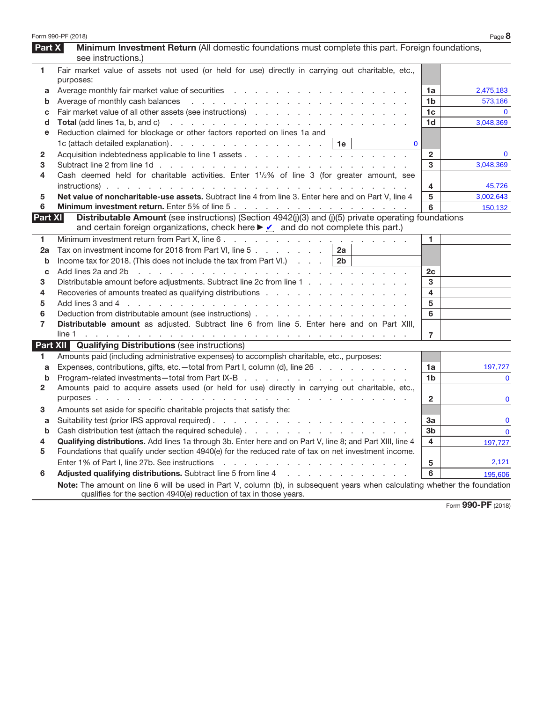|                | Form 990-PF (2018)                                                                                                                                                                                                             |                      | Page 8       |
|----------------|--------------------------------------------------------------------------------------------------------------------------------------------------------------------------------------------------------------------------------|----------------------|--------------|
| Part $X$       | Minimum Investment Return (All domestic foundations must complete this part. Foreign foundations,                                                                                                                              |                      |              |
|                | see instructions.)                                                                                                                                                                                                             |                      |              |
| 1              | Fair market value of assets not used (or held for use) directly in carrying out charitable, etc.,                                                                                                                              |                      |              |
|                | purposes:                                                                                                                                                                                                                      |                      |              |
| а              |                                                                                                                                                                                                                                | 1a                   | 2,475,183    |
| b              |                                                                                                                                                                                                                                | 1b<br>1 <sub>c</sub> | 573,186      |
| с              |                                                                                                                                                                                                                                |                      | 3,048,369    |
| d              | Reduction claimed for blockage or other factors reported on lines 1a and                                                                                                                                                       | 1d                   |              |
| е              | $\mathbf{0}$                                                                                                                                                                                                                   |                      |              |
|                | 1c (attach detailed explanation).   1e                                                                                                                                                                                         | $\overline{2}$       | $\mathbf{0}$ |
| 2              |                                                                                                                                                                                                                                | 3                    | 3,048,369    |
| 3<br>4         | Cash deemed held for charitable activities. Enter 1 <sup>1</sup> / <sub>2</sub> % of line 3 (for greater amount, see                                                                                                           |                      |              |
|                |                                                                                                                                                                                                                                | 4                    | 45,726       |
| 5              | Net value of noncharitable-use assets. Subtract line 4 from line 3. Enter here and on Part V, line 4                                                                                                                           | 5                    | 3,002,643    |
| 6              |                                                                                                                                                                                                                                | 6                    | 150,132      |
| Part XI        | Distributable Amount (see instructions) (Section 4942(j)(3) and (j)(5) private operating foundations                                                                                                                           |                      |              |
|                | and certain foreign organizations, check here $\blacktriangleright \square$ and do not complete this part.)                                                                                                                    |                      |              |
| 1              |                                                                                                                                                                                                                                | 1.                   |              |
| 2a             | Tax on investment income for 2018 from Part VI, line 5<br>2a                                                                                                                                                                   |                      |              |
| b              | Income tax for 2018. (This does not include the tax from Part VI.) $\ldots$   2b                                                                                                                                               |                      |              |
| С              | Add lines 2a and 2b r and r and r and r and r and r and r and r and r and r and r and r and r and r and r and r and r and r and r and r and r and r and r and r and r and r and r and r and r and r and r and r and r and r an | 2c                   |              |
| 3              | Distributable amount before adjustments. Subtract line 2c from line 1                                                                                                                                                          | 3                    |              |
| 4              | Recoveries of amounts treated as qualifying distributions                                                                                                                                                                      | 4                    |              |
| 5              | Add lines 3 and 4 (edge) and a contract to contract the contract of the contract of the contract of the contract of the contract of the contract of the contract of the contract of the contract of the contract of the contra | 5                    |              |
| 6              |                                                                                                                                                                                                                                | 6                    |              |
| $\overline{7}$ | Distributable amount as adjusted. Subtract line 6 from line 5. Enter here and on Part XIII,                                                                                                                                    |                      |              |
|                |                                                                                                                                                                                                                                | 7                    |              |
|                | <b>Part XII Qualifying Distributions (see instructions)</b>                                                                                                                                                                    |                      |              |
| 1.             | Amounts paid (including administrative expenses) to accomplish charitable, etc., purposes:                                                                                                                                     |                      |              |
| a              | Expenses, contributions, gifts, etc.—total from Part I, column (d), line 26                                                                                                                                                    | 1a                   | 197,727      |
| b              |                                                                                                                                                                                                                                | 1b                   | $\mathbf{0}$ |
| 2              | Amounts paid to acquire assets used (or held for use) directly in carrying out charitable, etc.,                                                                                                                               |                      |              |
|                |                                                                                                                                                                                                                                | $\mathbf{2}$         | $\mathbf 0$  |
| 3              | Amounts set aside for specific charitable projects that satisfy the:                                                                                                                                                           |                      |              |
| а              |                                                                                                                                                                                                                                | За                   | $\mathbf 0$  |
|                | Cash distribution test (attach the required schedule)                                                                                                                                                                          | 3 <sub>b</sub>       | $\mathbf 0$  |
| 4              | Qualifying distributions. Add lines 1a through 3b. Enter here and on Part V, line 8; and Part XIII, line 4                                                                                                                     | 4                    | 197,727      |
| 5              | Foundations that qualify under section 4940(e) for the reduced rate of tax on net investment income.                                                                                                                           |                      |              |
|                | Enter 1% of Part I, line 27b. See instructions<br>the contract of the contract of the contract of the contract of the contract of the contract of the contract of                                                              | 5                    | 2,121        |
| 6              | Adjusted qualifying distributions. Subtract line 5 from line 4 manufacturers and contact the substitution of the substitution of the substitution of Adjusted Qualitying distributions. Substitution of the 5 from line 4      | 6                    | 195,606      |
|                | Note: The amount on line 6 will be used in Part V, column (b), in subsequent years when calculating whether the foundation<br>qualifies for the section 4940(e) reduction of tax in those years.                               |                      |              |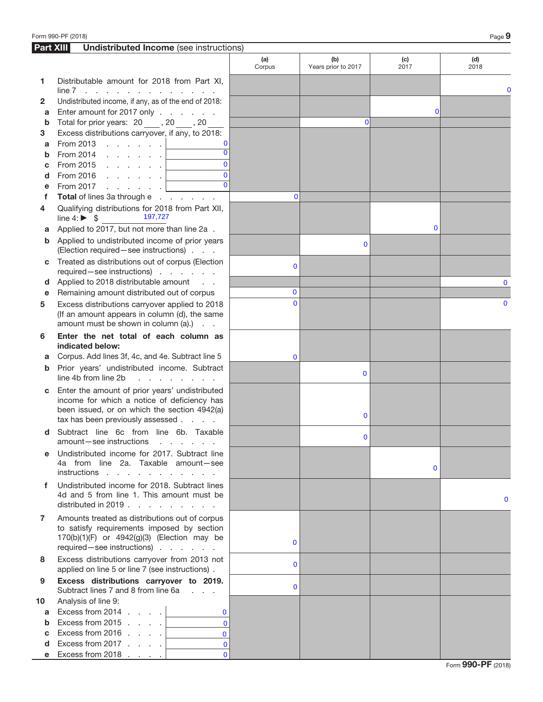| <b>Part XIII</b> | <b>Undistributed Income</b> (see instructions)                                                                                                                                                                                                                                                                                                                                                                                                                                                                    |                |                            |              |              |
|------------------|-------------------------------------------------------------------------------------------------------------------------------------------------------------------------------------------------------------------------------------------------------------------------------------------------------------------------------------------------------------------------------------------------------------------------------------------------------------------------------------------------------------------|----------------|----------------------------|--------------|--------------|
|                  |                                                                                                                                                                                                                                                                                                                                                                                                                                                                                                                   | (a)<br>Corpus  | (b)<br>Years prior to 2017 | (c)<br>2017  | (d)<br>2018  |
| 1                | Distributable amount for 2018 from Part XI,<br>$line 7$                                                                                                                                                                                                                                                                                                                                                                                                                                                           |                |                            |              | 0            |
| $\mathbf{2}$     | Undistributed income, if any, as of the end of 2018:                                                                                                                                                                                                                                                                                                                                                                                                                                                              |                |                            |              |              |
| а                | Enter amount for 2017 only                                                                                                                                                                                                                                                                                                                                                                                                                                                                                        |                |                            | Ol           |              |
| $\mathbf b$      | Total for prior years: 20, 20, 20                                                                                                                                                                                                                                                                                                                                                                                                                                                                                 |                | $\Omega$                   |              |              |
| 3                | Excess distributions carryover, if any, to 2018:                                                                                                                                                                                                                                                                                                                                                                                                                                                                  |                |                            |              |              |
| a                | From 2013 $\ldots$ $\ldots$ $\ldots$                                                                                                                                                                                                                                                                                                                                                                                                                                                                              |                |                            |              |              |
| b                | $\overline{0}$<br>From 2014 $\ldots$ $\ldots$                                                                                                                                                                                                                                                                                                                                                                                                                                                                     |                |                            |              |              |
| C                | $\Omega$<br>From 2015 $\, \cdot \,$ $\, \cdot \,$ $\, \cdot \,$ $\, \cdot \,$ $\, \cdot \,$                                                                                                                                                                                                                                                                                                                                                                                                                       |                |                            |              |              |
| d                | $\overline{0}$<br>$\begin{tabular}{c} \multicolumn{2}{c} {\textbf{1}} & \multicolumn{2}{c} {\textbf{1}} & \multicolumn{2}{c} {\textbf{1}} \\ \multicolumn{2}{c} {\textbf{1}} & \multicolumn{2}{c} {\textbf{1}} & \multicolumn{2}{c} {\textbf{1}} \\ \multicolumn{2}{c} {\textbf{1}} & \multicolumn{2}{c} {\textbf{1}} & \multicolumn{2}{c} {\textbf{1}} \\ \multicolumn{2}{c} {\textbf{1}} & \multicolumn{2}{c} {\textbf{1}} & \multicolumn{2}{c} {\textbf{1}} \\ \multicolumn{2}{c} {\textbf{1}} & \multicolumn$ |                |                            |              |              |
| е                | From 2017<br>and a state of the                                                                                                                                                                                                                                                                                                                                                                                                                                                                                   |                |                            |              |              |
| f                | Total of lines 3a through e                                                                                                                                                                                                                                                                                                                                                                                                                                                                                       | $\Omega$       |                            |              |              |
| 4                | Qualifying distributions for 2018 from Part XII,<br>197,727<br>line 4: $\triangleright$ \$                                                                                                                                                                                                                                                                                                                                                                                                                        |                |                            |              |              |
| а                | Applied to 2017, but not more than line 2a.                                                                                                                                                                                                                                                                                                                                                                                                                                                                       |                |                            | $\bf{0}$     |              |
| b                | Applied to undistributed income of prior years<br>(Election required - see instructions)                                                                                                                                                                                                                                                                                                                                                                                                                          |                | 0                          |              |              |
| С                | Treated as distributions out of corpus (Election<br>required-see instructions)                                                                                                                                                                                                                                                                                                                                                                                                                                    | $\mathbf 0$    |                            |              |              |
| d                | Applied to 2018 distributable amount                                                                                                                                                                                                                                                                                                                                                                                                                                                                              |                |                            |              | $\mathbf 0$  |
| е                | Remaining amount distributed out of corpus                                                                                                                                                                                                                                                                                                                                                                                                                                                                        | $\mathbf{0}$   |                            |              |              |
| 5                | Excess distributions carryover applied to 2018<br>(If an amount appears in column (d), the same<br>amount must be shown in column (a).)                                                                                                                                                                                                                                                                                                                                                                           | $\Omega$       |                            |              | $\Omega$     |
| 6                | Enter the net total of each column as<br>indicated below:                                                                                                                                                                                                                                                                                                                                                                                                                                                         |                |                            |              |              |
| а                | Corpus. Add lines 3f, 4c, and 4e. Subtract line 5                                                                                                                                                                                                                                                                                                                                                                                                                                                                 | $\mathbf 0$    |                            |              |              |
| b                | Prior years' undistributed income. Subtract<br>line 4b from line 2b<br>and the company of the company                                                                                                                                                                                                                                                                                                                                                                                                             |                | 0                          |              |              |
| c                | Enter the amount of prior years' undistributed<br>income for which a notice of deficiency has<br>been issued, or on which the section 4942(a)<br>tax has been previously assessed                                                                                                                                                                                                                                                                                                                                 |                | 0                          |              |              |
| d                | Subtract line 6c from line 6b. Taxable<br>amount-see instructions<br>and the contract of the state of                                                                                                                                                                                                                                                                                                                                                                                                             |                | $\Omega$                   |              |              |
| е                | Undistributed income for 2017. Subtract line<br>4a from line 2a. Taxable amount-see<br>instructions                                                                                                                                                                                                                                                                                                                                                                                                               |                |                            | $\mathbf{0}$ |              |
| f.               | Undistributed income for 2018. Subtract lines<br>4d and 5 from line 1. This amount must be<br>distributed in 2019.                                                                                                                                                                                                                                                                                                                                                                                                |                |                            |              | $\mathbf{0}$ |
| 7                | Amounts treated as distributions out of corpus<br>to satisfy requirements imposed by section<br>170(b)(1)(F) or 4942(g)(3) (Election may be<br>required - see instructions)                                                                                                                                                                                                                                                                                                                                       | $\mathbf{0}$   |                            |              |              |
| 8                | Excess distributions carryover from 2013 not<br>applied on line 5 or line 7 (see instructions).                                                                                                                                                                                                                                                                                                                                                                                                                   | $\Omega$       |                            |              |              |
| 9                | Excess distributions carryover to 2019.<br>Subtract lines 7 and 8 from line 6a                                                                                                                                                                                                                                                                                                                                                                                                                                    | $\overline{0}$ |                            |              |              |
| 10               | Analysis of line 9:                                                                                                                                                                                                                                                                                                                                                                                                                                                                                               |                |                            |              |              |
| a                | Excess from 2014 $\ldots$ $\ldots$<br>$\mathbf{0}$                                                                                                                                                                                                                                                                                                                                                                                                                                                                |                |                            |              |              |
| b                | $\Omega$<br>Excess from 2015 $\ldots$ .                                                                                                                                                                                                                                                                                                                                                                                                                                                                           |                |                            |              |              |
| C                | Excess from 2016 $\ldots$ .<br>$\mathbf{0}$                                                                                                                                                                                                                                                                                                                                                                                                                                                                       |                |                            |              |              |
| d                | Excess from 2017 $\ldots$ .<br>$\mathbf{0}$                                                                                                                                                                                                                                                                                                                                                                                                                                                                       |                |                            |              |              |
|                  | Excess from 2018 $\ldots$ .<br>$\mathbf{0}$                                                                                                                                                                                                                                                                                                                                                                                                                                                                       |                |                            |              |              |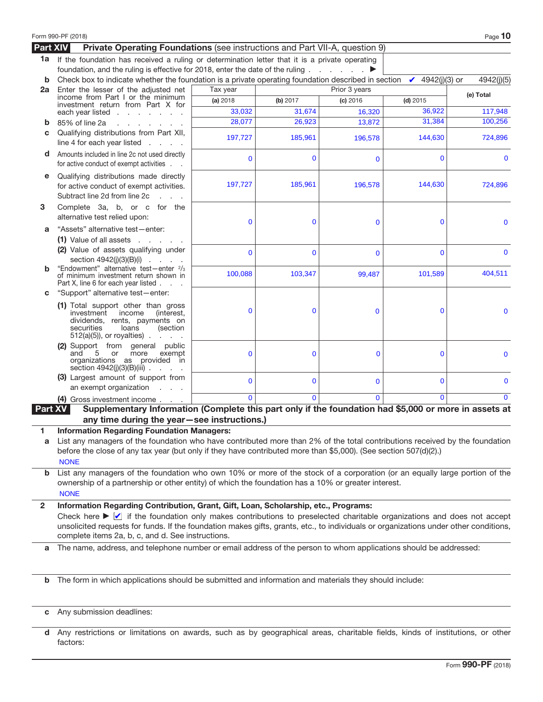|                 | Form 990-PF (2018)                                                                                                                                                                                                                                                                                                                                                                                                               |              |             |               |                         | Page 10      |
|-----------------|----------------------------------------------------------------------------------------------------------------------------------------------------------------------------------------------------------------------------------------------------------------------------------------------------------------------------------------------------------------------------------------------------------------------------------|--------------|-------------|---------------|-------------------------|--------------|
| <b>Part XIV</b> | Private Operating Foundations (see instructions and Part VII-A, question 9)                                                                                                                                                                                                                                                                                                                                                      |              |             |               |                         |              |
| 1a              | If the foundation has received a ruling or determination letter that it is a private operating                                                                                                                                                                                                                                                                                                                                   |              |             |               |                         |              |
|                 | foundation, and the ruling is effective for 2018, enter the date of the ruling                                                                                                                                                                                                                                                                                                                                                   |              |             |               |                         |              |
| b               | Check box to indicate whether the foundation is a private operating foundation described in section                                                                                                                                                                                                                                                                                                                              |              |             |               | 4942(j)(3) or<br>ا بر ا | 4942(j)(5)   |
| 2a              | Enter the lesser of the adjusted net                                                                                                                                                                                                                                                                                                                                                                                             | Tax year     |             | Prior 3 years |                         | (e) Total    |
|                 | income from Part I or the minimum<br>investment return from Part X for                                                                                                                                                                                                                                                                                                                                                           | (a) 2018     | (b) 2017    | (c) 2016      | $(d)$ 2015              |              |
|                 | each year listed $\ldots$ $\ldots$ $\ldots$                                                                                                                                                                                                                                                                                                                                                                                      | 33,032       | 31,674      | 16,320        | 36,922                  | 117,948      |
| b               | 85% of line 2a<br>and the contract of the con-                                                                                                                                                                                                                                                                                                                                                                                   | 28,077       | 26,923      | 13,872        | 31,384                  | 100.256      |
| C               | Qualifying distributions from Part XII,<br>line 4 for each year listed<br>and the control of                                                                                                                                                                                                                                                                                                                                     | 197,727      | 185,961     | 196,578       | 144,630                 | 724,896      |
| d               | Amounts included in line 2c not used directly<br>for active conduct of exempt activities                                                                                                                                                                                                                                                                                                                                         | $\mathbf 0$  | $\bf{0}$    | $\mathbf 0$   | $\mathbf 0$             | $\mathbf 0$  |
| е               | Qualifying distributions made directly<br>for active conduct of exempt activities.<br>Subtract line 2d from line 2c<br>$1 - 1 - 1$                                                                                                                                                                                                                                                                                               | 197,727      | 185,961     | 196,578       | 144,630                 | 724,896      |
| 3               | Complete 3a, b, or c for the<br>alternative test relied upon:                                                                                                                                                                                                                                                                                                                                                                    | $\mathbf 0$  | $\mathbf 0$ | $\mathbf 0$   | $\mathbf 0$             | $\mathbf 0$  |
| a               | "Assets" alternative test-enter:<br>$(1)$ Value of all assets $\ldots$ .                                                                                                                                                                                                                                                                                                                                                         |              |             |               |                         |              |
|                 | (2) Value of assets qualifying under<br>section $4942(i)(3)(B)(i)$                                                                                                                                                                                                                                                                                                                                                               | $\mathbf{0}$ | $\mathbf 0$ | $\mathbf 0$   | $\Omega$                | $\Omega$     |
| b               | "Endowment" alternative test-enter 2/3<br>of minimum investment return shown in<br>Part X, line 6 for each year listed                                                                                                                                                                                                                                                                                                           | 100,088      | 103,347     | 99,487        | 101,589                 | 404,511      |
| С               | "Support" alternative test-enter:                                                                                                                                                                                                                                                                                                                                                                                                |              |             |               |                         |              |
|                 | (1) Total support other than gross<br>investment<br>income<br>(interest,<br>dividends, rents, payments on<br>securities<br>loans<br>(section<br>$512(a)(5)$ , or royalties).                                                                                                                                                                                                                                                     | $\mathbf 0$  | 0           | $\Omega$      | $\mathbf 0$             | $\mathbf 0$  |
|                 | (2) Support from general public<br>5 or<br>more<br>exempt<br>and<br>organizations as provided in<br>section 4942(j)(3)(B)(iii).                                                                                                                                                                                                                                                                                                  | $\mathbf 0$  | $\mathbf 0$ | 0             | $\mathbf 0$             | $\mathbf 0$  |
|                 | (3) Largest amount of support from<br>an exempt organization<br>$\mathbf{L} = \mathbf{L} \times \mathbf{L}$                                                                                                                                                                                                                                                                                                                      | $\mathbf 0$  | $\bf{0}$    | $\mathbf{0}$  | $\bf{0}$                | $\mathbf 0$  |
|                 | (4) Gross investment income                                                                                                                                                                                                                                                                                                                                                                                                      | $\Omega$     | $\Omega$    | $\Omega$      | $\mathbf{0}$            | $\mathbf{0}$ |
| <b>Part XV</b>  | Supplementary Information (Complete this part only if the foundation had \$5,000 or more in assets at                                                                                                                                                                                                                                                                                                                            |              |             |               |                         |              |
|                 | any time during the year-see instructions.)                                                                                                                                                                                                                                                                                                                                                                                      |              |             |               |                         |              |
| a               | <b>Information Regarding Foundation Managers:</b><br>List any managers of the foundation who have contributed more than 2% of the total contributions received by the foundation<br>before the close of any tax year (but only if they have contributed more than \$5,000). (See section 507(d)(2).)<br><b>NONE</b>                                                                                                              |              |             |               |                         |              |
| b               | List any managers of the foundation who own 10% or more of the stock of a corporation (or an equally large portion of the<br>ownership of a partnership or other entity) of which the foundation has a 10% or greater interest.<br><b>NONE</b>                                                                                                                                                                                   |              |             |               |                         |              |
| 2               | Information Regarding Contribution, Grant, Gift, Loan, Scholarship, etc., Programs:<br>Check here $\blacktriangleright \Box$ if the foundation only makes contributions to preselected charitable organizations and does not accept<br>unsolicited requests for funds. If the foundation makes gifts, grants, etc., to individuals or organizations under other conditions,<br>complete items 2a, b, c, and d. See instructions. |              |             |               |                         |              |
| a               | The name, address, and telephone number or email address of the person to whom applications should be addressed:                                                                                                                                                                                                                                                                                                                 |              |             |               |                         |              |
| $\mathbf b$     | The form in which applications should be submitted and information and materials they should include:                                                                                                                                                                                                                                                                                                                            |              |             |               |                         |              |
| C               | Any submission deadlines:                                                                                                                                                                                                                                                                                                                                                                                                        |              |             |               |                         |              |

|          |  |  |  |  | d Any restrictions or limitations on awards, such as by geographical areas, charitable fields, kinds of institutions, or other |  |  |  |  |
|----------|--|--|--|--|--------------------------------------------------------------------------------------------------------------------------------|--|--|--|--|
| factors: |  |  |  |  |                                                                                                                                |  |  |  |  |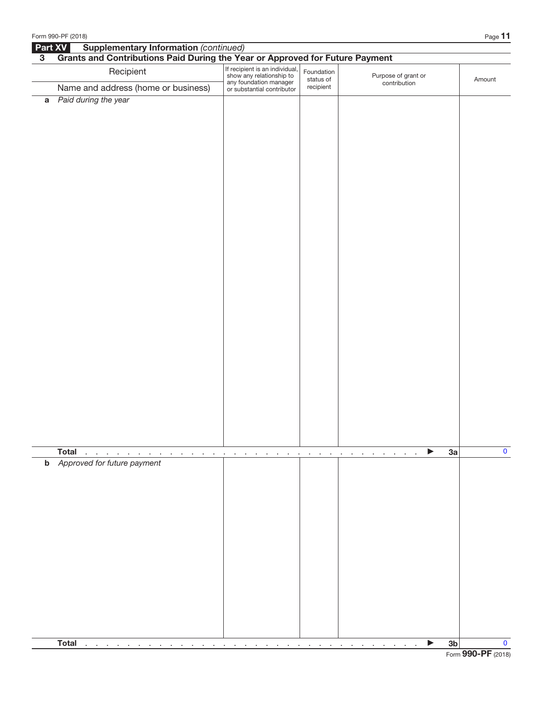|                | Form 990-PF (2018)                                                           |                                                                                                                    |                                |                                     | Page 11                       |
|----------------|------------------------------------------------------------------------------|--------------------------------------------------------------------------------------------------------------------|--------------------------------|-------------------------------------|-------------------------------|
| Part XV        | <b>Supplementary Information (continued)</b>                                 |                                                                                                                    |                                |                                     |                               |
| 3 <sup>1</sup> | Grants and Contributions Paid During the Year or Approved for Future Payment |                                                                                                                    |                                |                                     |                               |
|                | Recipient                                                                    | If recipient is an individual,<br>show any relationship to<br>any foundation manager<br>or substantial contributor | Foundation<br>status of        | Purpose of grant or<br>contribution | Amount                        |
|                | Name and address (home or business)                                          |                                                                                                                    | recipient                      |                                     |                               |
|                | a Paid during the year                                                       |                                                                                                                    |                                |                                     |                               |
|                | <b>Total</b><br><b>Contract Contract</b><br>the contract of the contract of  | $\sim$<br>$\sim$ $\sim$<br>$\cdot$<br>$\cdot$<br>$\cdot$                                                           | and a strategic and<br>$\cdot$ | ▶<br>$\sim$<br>$\sim$<br>$\sim$     | $\mathbf 0$<br>3a             |
|                | <b>b</b> Approved for future payment                                         |                                                                                                                    |                                |                                     |                               |
|                | <b>Total</b><br>$\alpha$ , and $\alpha$ , and $\alpha$ , and $\alpha$        | $\cdot$                                                                                                            | $\cdot$<br>$\cdot$             |                                     | $\mathbf 0$<br>3 <sub>b</sub> |
|                | $\sim$ 10 $\pm$<br>$\sim$<br>$\sim$ 100 $\sim$<br>$\sim$<br>$\cdot$          | $\sim$<br>$\sim$<br>$\sim$ $\sim$<br>$\sim$<br>$\sim$                                                              | $\sim 100$                     | the contract of the contract of     |                               |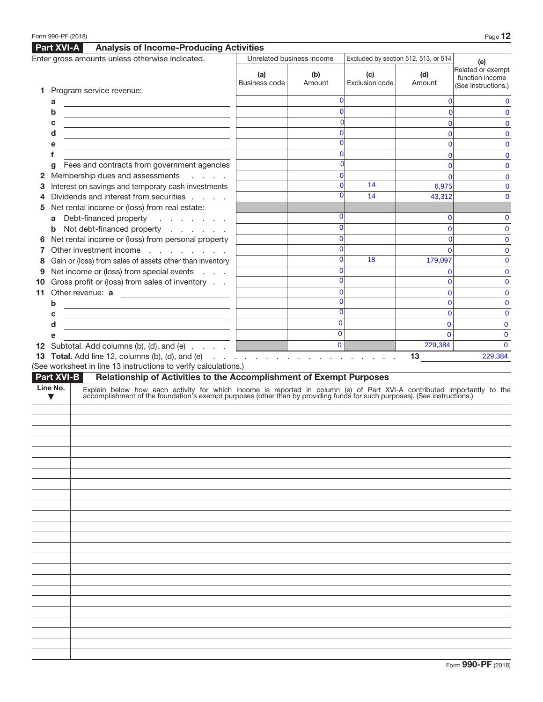|    |                      | <b>Part XVI-A</b><br><b>Analysis of Income-Producing Activities</b>                                                                                                                                                           |                      |                           |                                      |                |                                                             |
|----|----------------------|-------------------------------------------------------------------------------------------------------------------------------------------------------------------------------------------------------------------------------|----------------------|---------------------------|--------------------------------------|----------------|-------------------------------------------------------------|
|    |                      | Enter gross amounts unless otherwise indicated.                                                                                                                                                                               |                      | Unrelated business income | Excluded by section 512, 513, or 514 |                | (e)                                                         |
|    |                      | 1 Program service revenue:                                                                                                                                                                                                    | (a)<br>Business code | (b)<br>Amount             | (c)<br>Exclusion code                | (d)<br>Amount  | Related or exempt<br>function income<br>(See instructions.) |
|    |                      |                                                                                                                                                                                                                               |                      | ŋ                         |                                      |                |                                                             |
|    | a<br>b               |                                                                                                                                                                                                                               |                      |                           |                                      |                | 0                                                           |
|    | c                    |                                                                                                                                                                                                                               |                      |                           |                                      |                | $\mathbf{0}$                                                |
|    | d                    | <u> 1980 - Andrea Stadt Britain, amerikansk politik (</u>                                                                                                                                                                     |                      |                           |                                      |                |                                                             |
|    |                      | <u> 1989 - Johann Stein, mars an deutscher Stein († 1989)</u>                                                                                                                                                                 |                      |                           |                                      |                | 0<br>0                                                      |
|    | е                    |                                                                                                                                                                                                                               |                      |                           |                                      |                |                                                             |
|    |                      |                                                                                                                                                                                                                               |                      |                           |                                      |                | 0                                                           |
|    | q                    | Fees and contracts from government agencies                                                                                                                                                                                   |                      |                           |                                      |                | $\mathbf{0}$                                                |
| 2  |                      | Membership dues and assessments<br>and a state                                                                                                                                                                                |                      |                           | 14                                   |                | 0                                                           |
| З  |                      | Interest on savings and temporary cash investments                                                                                                                                                                            |                      |                           | 14                                   | 6,975          | 0                                                           |
| 4  |                      | Dividends and interest from securities                                                                                                                                                                                        |                      |                           |                                      | 43,312         | 0                                                           |
| 5  |                      | Net rental income or (loss) from real estate:                                                                                                                                                                                 |                      |                           |                                      |                |                                                             |
|    |                      | a Debt-financed property<br>and a series of the                                                                                                                                                                               |                      |                           |                                      |                |                                                             |
|    |                      | <b>b</b> Not debt-financed property                                                                                                                                                                                           |                      |                           |                                      |                | 0                                                           |
|    |                      | Net rental income or (loss) from personal property                                                                                                                                                                            |                      | 0                         |                                      |                | 0                                                           |
| 7  |                      | Other investment income                                                                                                                                                                                                       |                      | n                         |                                      |                | 0                                                           |
| 8  |                      | Gain or (loss) from sales of assets other than inventory                                                                                                                                                                      |                      |                           | 18                                   | 179,097        | $\mathbf{0}$                                                |
| 9  |                      | Net income or (loss) from special events                                                                                                                                                                                      |                      | 0                         |                                      |                | 0                                                           |
| 10 |                      | Gross profit or (loss) from sales of inventory                                                                                                                                                                                |                      |                           |                                      |                | 0                                                           |
| 11 |                      | Other revenue: a                                                                                                                                                                                                              |                      | 0                         |                                      |                | 0                                                           |
|    | b                    | <u> 1980 - Johann Barbara, martin amerikan basar da</u>                                                                                                                                                                       |                      |                           |                                      |                | 0                                                           |
|    | с                    | <u> 1989 - Johann Barn, fransk politik (d. 1989)</u>                                                                                                                                                                          |                      |                           |                                      | $\overline{0}$ | $\mathbf{0}$                                                |
|    | d                    | <u> 1989 - Johann Barn, mars ann an Catharin ann an t-</u>                                                                                                                                                                    |                      | $\mathbf 0$               |                                      | 0              | $\mathbf{0}$                                                |
|    | е                    |                                                                                                                                                                                                                               |                      | $\mathbf{0}$              |                                      | $\Omega$       | $\mathbf 0$                                                 |
|    |                      | <b>12</b> Subtotal. Add columns (b), (d), and (e) $\ldots$ $\ldots$                                                                                                                                                           |                      | $\overline{\mathbf{0}}$   |                                      | 229,384        | $\mathbf{0}$                                                |
|    |                      |                                                                                                                                                                                                                               |                      |                           |                                      |                |                                                             |
|    |                      | <b>13 Total.</b> Add line 12, columns (b), (d), and (e) $\ldots$ $\ldots$ $\ldots$ $\ldots$ $\ldots$ $\ldots$ $\ldots$                                                                                                        |                      |                           |                                      | 13             | 229,384                                                     |
|    |                      | (See worksheet in line 13 instructions to verify calculations.)                                                                                                                                                               |                      |                           |                                      |                |                                                             |
|    |                      | <b>Part XVI-B</b><br>Relationship of Activities to the Accomplishment of Exempt Purposes                                                                                                                                      |                      |                           |                                      |                |                                                             |
|    | Line No.             |                                                                                                                                                                                                                               |                      |                           |                                      |                |                                                             |
|    | $\blacktriangledown$ | Explain below how each activity for which income is reported in column (e) of Part XVI-A contributed importantly to the accomplishment of the foundation's exempt purposes (other than by providing funds for such purposes). |                      |                           |                                      |                |                                                             |
|    |                      |                                                                                                                                                                                                                               |                      |                           |                                      |                |                                                             |
|    |                      |                                                                                                                                                                                                                               |                      |                           |                                      |                |                                                             |
|    |                      |                                                                                                                                                                                                                               |                      |                           |                                      |                |                                                             |
|    |                      |                                                                                                                                                                                                                               |                      |                           |                                      |                |                                                             |
|    |                      |                                                                                                                                                                                                                               |                      |                           |                                      |                |                                                             |
|    |                      |                                                                                                                                                                                                                               |                      |                           |                                      |                |                                                             |
|    |                      |                                                                                                                                                                                                                               |                      |                           |                                      |                |                                                             |
|    |                      |                                                                                                                                                                                                                               |                      |                           |                                      |                |                                                             |
|    |                      |                                                                                                                                                                                                                               |                      |                           |                                      |                |                                                             |
|    |                      |                                                                                                                                                                                                                               |                      |                           |                                      |                |                                                             |
|    |                      |                                                                                                                                                                                                                               |                      |                           |                                      |                |                                                             |
|    |                      |                                                                                                                                                                                                                               |                      |                           |                                      |                |                                                             |
|    |                      |                                                                                                                                                                                                                               |                      |                           |                                      |                |                                                             |
|    |                      |                                                                                                                                                                                                                               |                      |                           |                                      |                |                                                             |
|    |                      |                                                                                                                                                                                                                               |                      |                           |                                      |                |                                                             |
|    |                      |                                                                                                                                                                                                                               |                      |                           |                                      |                |                                                             |
|    |                      |                                                                                                                                                                                                                               |                      |                           |                                      |                |                                                             |
|    |                      |                                                                                                                                                                                                                               |                      |                           |                                      |                |                                                             |
|    |                      |                                                                                                                                                                                                                               |                      |                           |                                      |                |                                                             |
|    |                      |                                                                                                                                                                                                                               |                      |                           |                                      |                |                                                             |
|    |                      |                                                                                                                                                                                                                               |                      |                           |                                      |                |                                                             |
|    |                      |                                                                                                                                                                                                                               |                      |                           |                                      |                |                                                             |
|    |                      |                                                                                                                                                                                                                               |                      |                           |                                      |                |                                                             |
|    |                      |                                                                                                                                                                                                                               |                      |                           |                                      |                |                                                             |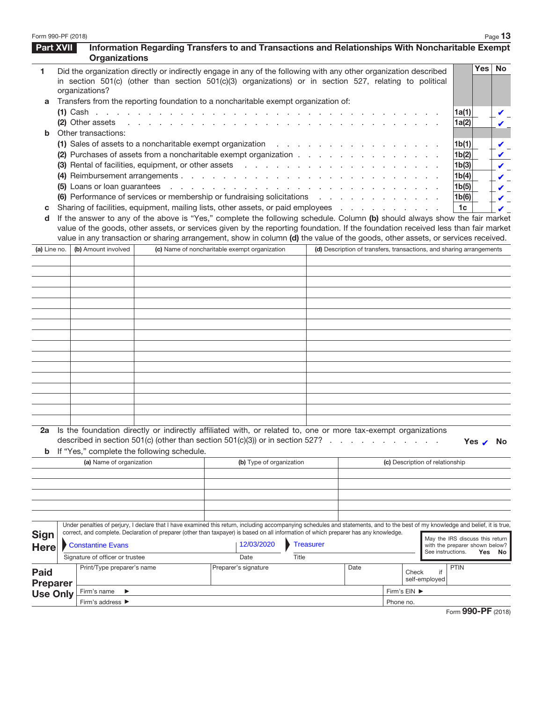| Form 990-PF (2018) |                                         |                                                                                                                                                                                                                                                          |                                               |                          |                  |      |                                 |               | Page $13$                                                            |
|--------------------|-----------------------------------------|----------------------------------------------------------------------------------------------------------------------------------------------------------------------------------------------------------------------------------------------------------|-----------------------------------------------|--------------------------|------------------|------|---------------------------------|---------------|----------------------------------------------------------------------|
| Part XVII          | <b>Organizations</b>                    | Information Regarding Transfers to and Transactions and Relationships With Noncharitable Exempt                                                                                                                                                          |                                               |                          |                  |      |                                 |               |                                                                      |
| 1.                 | organizations?                          | Did the organization directly or indirectly engage in any of the following with any other organization described<br>in section 501(c) (other than section 501(c)(3) organizations) or in section 527, relating to political                              |                                               |                          |                  |      |                                 |               | Yes No                                                               |
| a                  |                                         | Transfers from the reporting foundation to a noncharitable exempt organization of:                                                                                                                                                                       |                                               |                          |                  |      |                                 |               |                                                                      |
|                    |                                         |                                                                                                                                                                                                                                                          |                                               |                          |                  |      |                                 |               | 1a(1)                                                                |
| b                  | (2) Other assets<br>Other transactions: |                                                                                                                                                                                                                                                          |                                               | the contract of the con- |                  |      |                                 |               | 1a(2)                                                                |
|                    |                                         | (1) Sales of assets to a noncharitable exempt organization<br>the contract of the contract of                                                                                                                                                            |                                               |                          |                  |      |                                 |               | 1 <sub>b</sub> (1)                                                   |
|                    |                                         | (2) Purchases of assets from a noncharitable exempt organization                                                                                                                                                                                         |                                               |                          |                  |      |                                 |               | 1b(2)                                                                |
|                    |                                         | (3) Rental of facilities, equipment, or other assets                                                                                                                                                                                                     |                                               |                          |                  |      |                                 |               | 1b(3)                                                                |
|                    |                                         | (4) Reimbursement arrangements                                                                                                                                                                                                                           |                                               |                          |                  |      |                                 |               | 1b(4)                                                                |
|                    |                                         | (5) Loans or loan guarantees                                                                                                                                                                                                                             |                                               |                          |                  |      |                                 |               | 1b(5)                                                                |
|                    |                                         | (6) Performance of services or membership or fundraising solicitations<br>Sharing of facilities, equipment, mailing lists, other assets, or paid employees                                                                                               |                                               |                          |                  |      |                                 |               | 1b(6)<br>1c                                                          |
| C<br>d             |                                         | If the answer to any of the above is "Yes," complete the following schedule. Column (b) should always show the fair market                                                                                                                               |                                               |                          |                  |      |                                 |               |                                                                      |
|                    |                                         | value of the goods, other assets, or services given by the reporting foundation. If the foundation received less than fair market                                                                                                                        |                                               |                          |                  |      |                                 |               |                                                                      |
|                    |                                         | value in any transaction or sharing arrangement, show in column (d) the value of the goods, other assets, or services received.                                                                                                                          |                                               |                          |                  |      |                                 |               |                                                                      |
| (a) Line no.       | (b) Amount involved                     |                                                                                                                                                                                                                                                          | (c) Name of noncharitable exempt organization |                          |                  |      |                                 |               | (d) Description of transfers, transactions, and sharing arrangements |
|                    |                                         |                                                                                                                                                                                                                                                          |                                               |                          |                  |      |                                 |               |                                                                      |
|                    |                                         |                                                                                                                                                                                                                                                          |                                               |                          |                  |      |                                 |               |                                                                      |
|                    |                                         |                                                                                                                                                                                                                                                          |                                               |                          |                  |      |                                 |               |                                                                      |
|                    |                                         |                                                                                                                                                                                                                                                          |                                               |                          |                  |      |                                 |               |                                                                      |
|                    |                                         |                                                                                                                                                                                                                                                          |                                               |                          |                  |      |                                 |               |                                                                      |
|                    |                                         |                                                                                                                                                                                                                                                          |                                               |                          |                  |      |                                 |               |                                                                      |
|                    |                                         |                                                                                                                                                                                                                                                          |                                               |                          |                  |      |                                 |               |                                                                      |
|                    |                                         |                                                                                                                                                                                                                                                          |                                               |                          |                  |      |                                 |               |                                                                      |
|                    |                                         |                                                                                                                                                                                                                                                          |                                               |                          |                  |      |                                 |               |                                                                      |
|                    |                                         |                                                                                                                                                                                                                                                          |                                               |                          |                  |      |                                 |               |                                                                      |
|                    |                                         |                                                                                                                                                                                                                                                          |                                               |                          |                  |      |                                 |               |                                                                      |
|                    |                                         |                                                                                                                                                                                                                                                          |                                               |                          |                  |      |                                 |               |                                                                      |
|                    |                                         |                                                                                                                                                                                                                                                          |                                               |                          |                  |      |                                 |               |                                                                      |
|                    |                                         |                                                                                                                                                                                                                                                          |                                               |                          |                  |      |                                 |               |                                                                      |
| b                  |                                         | 2a Is the foundation directly or indirectly affiliated with, or related to, one or more tax-exempt organizations<br>described in section 501(c) (other than section 501(c)(3)) or in section 527? $\ldots$<br>If "Yes," complete the following schedule. |                                               |                          |                  |      |                                 |               | Yes<br>No                                                            |
|                    | (a) Name of organization                |                                                                                                                                                                                                                                                          |                                               | (b) Type of organization |                  |      | (c) Description of relationship |               |                                                                      |
|                    |                                         |                                                                                                                                                                                                                                                          |                                               |                          |                  |      |                                 |               |                                                                      |
|                    |                                         |                                                                                                                                                                                                                                                          |                                               |                          |                  |      |                                 |               |                                                                      |
|                    |                                         |                                                                                                                                                                                                                                                          |                                               |                          |                  |      |                                 |               |                                                                      |
|                    |                                         |                                                                                                                                                                                                                                                          |                                               |                          |                  |      |                                 |               |                                                                      |
|                    |                                         | Under penalties of perjury, I declare that I have examined this return, including accompanying schedules and statements, and to the best of my knowledge and belief, it is true,                                                                         |                                               |                          |                  |      |                                 |               |                                                                      |
| <b>Sign</b>        |                                         | correct, and complete. Declaration of preparer (other than taxpayer) is based on all information of which preparer has any knowledge.                                                                                                                    |                                               |                          |                  |      |                                 |               |                                                                      |
| <b>Here</b>        | <b>Constantine Evans</b>                |                                                                                                                                                                                                                                                          | 12/03/2020                                    |                          | <b>Treasurer</b> |      |                                 |               | May the IRS discuss this return<br>with the preparer shown below?    |
|                    | Signature of officer or trustee         |                                                                                                                                                                                                                                                          | Date                                          | Title                    |                  |      |                                 |               | See instructions.<br>Yes No                                          |
| <b>Paid</b>        | Print/Type preparer's name              |                                                                                                                                                                                                                                                          | Preparer's signature                          |                          |                  | Date | Check                           | l if          | <b>PTIN</b>                                                          |
| <b>Preparer</b>    |                                         |                                                                                                                                                                                                                                                          |                                               |                          |                  |      |                                 | self-employed |                                                                      |
| <b>Use Only</b>    | Firm's name                             |                                                                                                                                                                                                                                                          |                                               |                          |                  |      | Firm's EIN ▶                    |               |                                                                      |
|                    | Firm's address ▶                        |                                                                                                                                                                                                                                                          |                                               |                          |                  |      | Phone no.                       |               |                                                                      |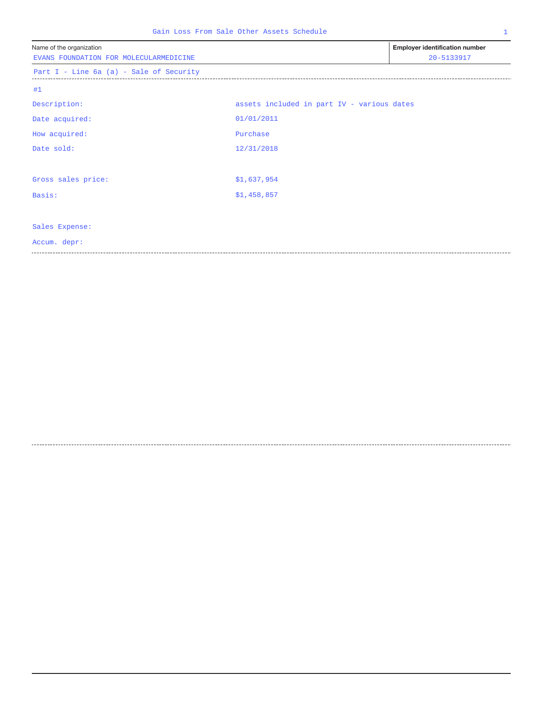| Gain Loss From Sale Other Assets Schedule<br>$\mathbf{1}$          |                                            |                                                     |  |  |  |  |  |
|--------------------------------------------------------------------|--------------------------------------------|-----------------------------------------------------|--|--|--|--|--|
| Name of the organization<br>EVANS FOUNDATION FOR MOLECULARMEDICINE |                                            | <b>Employer identification number</b><br>20-5133917 |  |  |  |  |  |
| Part I - Line 6a (a) - Sale of Security                            |                                            |                                                     |  |  |  |  |  |
| #1                                                                 |                                            |                                                     |  |  |  |  |  |
| Description:                                                       | assets included in part IV - various dates |                                                     |  |  |  |  |  |
| Date acquired:                                                     | 01/01/2011                                 |                                                     |  |  |  |  |  |
| How acquired:                                                      | Purchase                                   |                                                     |  |  |  |  |  |
| Date sold:                                                         | 12/31/2018                                 |                                                     |  |  |  |  |  |
| Gross sales price:                                                 | \$1,637,954                                |                                                     |  |  |  |  |  |
| Basis:                                                             | \$1,458,857                                |                                                     |  |  |  |  |  |
| Sales Expense:                                                     |                                            |                                                     |  |  |  |  |  |
| Accum. depr:                                                       |                                            |                                                     |  |  |  |  |  |
|                                                                    |                                            |                                                     |  |  |  |  |  |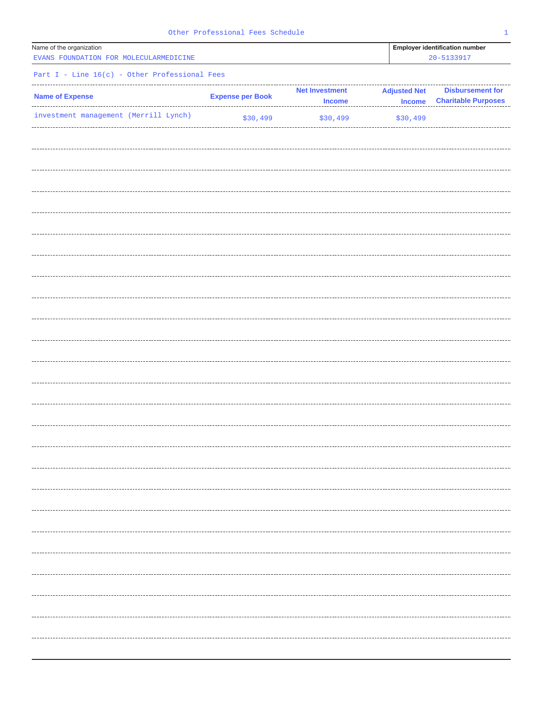| Other Professional Fees Schedule |  |  |
|----------------------------------|--|--|
|----------------------------------|--|--|

| Name of the organization                        |                         | <b>Employer identification number</b> |                     |                            |
|-------------------------------------------------|-------------------------|---------------------------------------|---------------------|----------------------------|
| EVANS FOUNDATION FOR MOLECULARMEDICINE          |                         |                                       |                     | 20-5133917                 |
|                                                 |                         |                                       |                     |                            |
| Part $I - Line 16(c) - Other Professional Fees$ |                         |                                       |                     |                            |
|                                                 |                         | <b>Net Investment</b>                 | <b>Adjusted Net</b> | <b>Disbursement for</b>    |
| <b>Name of Expense</b>                          | <b>Expense per Book</b> | <b>Income</b>                         | <b>Income</b>       | <b>Charitable Purposes</b> |
| investment management (Merrill Lynch)           |                         |                                       |                     |                            |
|                                                 | \$30,499                | \$30,499                              | \$30,499            |                            |
|                                                 |                         |                                       |                     |                            |
|                                                 |                         |                                       |                     |                            |
|                                                 |                         |                                       |                     |                            |
|                                                 |                         |                                       |                     |                            |
|                                                 |                         |                                       |                     |                            |
|                                                 |                         |                                       |                     |                            |
|                                                 |                         |                                       |                     |                            |
|                                                 |                         |                                       |                     |                            |
|                                                 |                         |                                       |                     |                            |
|                                                 |                         |                                       |                     |                            |
|                                                 |                         |                                       |                     |                            |
|                                                 |                         |                                       |                     |                            |
|                                                 |                         |                                       |                     |                            |
|                                                 |                         |                                       |                     |                            |
|                                                 |                         |                                       |                     |                            |
|                                                 |                         |                                       |                     |                            |
|                                                 |                         |                                       |                     |                            |
|                                                 |                         |                                       |                     |                            |
|                                                 |                         |                                       |                     |                            |
|                                                 |                         |                                       |                     |                            |
|                                                 |                         |                                       |                     |                            |
|                                                 |                         |                                       |                     |                            |
|                                                 |                         |                                       |                     |                            |
|                                                 |                         |                                       |                     |                            |
|                                                 |                         |                                       |                     |                            |
|                                                 |                         |                                       |                     |                            |
|                                                 |                         |                                       |                     |                            |
|                                                 |                         |                                       |                     |                            |
|                                                 |                         |                                       |                     |                            |
|                                                 |                         |                                       |                     |                            |
|                                                 |                         |                                       |                     |                            |
|                                                 |                         |                                       |                     |                            |
|                                                 |                         |                                       |                     |                            |
|                                                 |                         |                                       |                     |                            |
|                                                 |                         |                                       |                     |                            |
|                                                 |                         |                                       |                     |                            |
|                                                 |                         |                                       |                     |                            |
|                                                 |                         |                                       |                     |                            |
|                                                 |                         |                                       |                     |                            |
|                                                 |                         |                                       |                     |                            |
|                                                 |                         |                                       |                     |                            |
|                                                 |                         |                                       |                     |                            |
|                                                 |                         |                                       |                     |                            |
|                                                 |                         |                                       |                     |                            |
|                                                 |                         |                                       |                     |                            |
|                                                 |                         |                                       |                     |                            |
|                                                 |                         |                                       |                     |                            |
|                                                 |                         |                                       |                     |                            |
|                                                 |                         |                                       |                     |                            |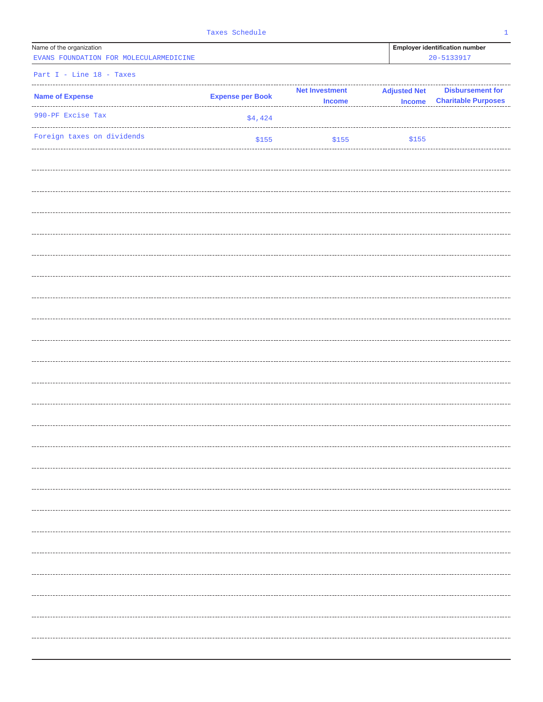| Name of the organization |  |  |                                        |  |  |  |  |  |
|--------------------------|--|--|----------------------------------------|--|--|--|--|--|
|                          |  |  | EVANS FOUNDATION FOR MOLECULARMEDICINE |  |  |  |  |  |

Employer identification number EVANS FOUNDATION FOR MOLECULARMEDICINE 20-5133917

|  |  |  | Part $I - Line 18 - Taxes$ |
|--|--|--|----------------------------|

| <b>Name of Expense</b>     | <b>Expense per Book</b> | <b>Net Investment</b> | <b>Adjusted Net</b> |                            |
|----------------------------|-------------------------|-----------------------|---------------------|----------------------------|
| .<br>990-PF Excise Tax     |                         | <b>Income</b>         | <b>Income</b>       | <b>Charitable Purposes</b> |
|                            | \$4,424                 |                       |                     |                            |
| Foreign taxes on dividends | \$155                   | \$155                 | \$155               |                            |
|                            |                         |                       |                     |                            |
|                            |                         |                       |                     |                            |
|                            |                         |                       |                     |                            |
|                            |                         |                       |                     |                            |
|                            |                         |                       |                     |                            |
|                            |                         |                       |                     |                            |
|                            |                         |                       |                     |                            |
|                            |                         |                       |                     |                            |
|                            |                         |                       |                     |                            |
|                            |                         |                       |                     |                            |
|                            |                         |                       |                     |                            |
|                            |                         |                       |                     |                            |
|                            |                         |                       |                     |                            |
|                            |                         |                       |                     |                            |
|                            |                         |                       |                     |                            |
|                            |                         |                       |                     |                            |
|                            |                         |                       |                     |                            |
|                            |                         |                       |                     |                            |
|                            |                         |                       |                     |                            |
|                            |                         |                       |                     |                            |
|                            |                         |                       |                     |                            |
|                            |                         |                       |                     |                            |
|                            |                         |                       |                     |                            |
|                            |                         |                       |                     |                            |
|                            |                         |                       |                     |                            |
|                            |                         |                       |                     |                            |
|                            |                         |                       |                     |                            |
|                            |                         |                       |                     |                            |
|                            |                         |                       |                     |                            |
|                            |                         |                       |                     |                            |
|                            |                         |                       |                     |                            |
|                            |                         |                       |                     |                            |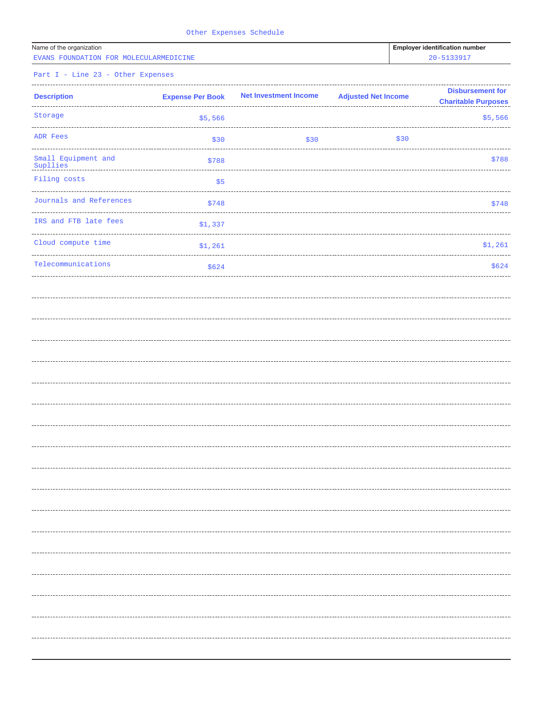|  | Other Expenses Schedule |  |
|--|-------------------------|--|
|--|-------------------------|--|

| Name of the organization |  |  |                                        |  |  |  |  |
|--------------------------|--|--|----------------------------------------|--|--|--|--|
|                          |  |  | EVANS FOUNDATION FOR MOLECULARMEDICINE |  |  |  |  |

Employer identification number EVANS FOUNDATION FOR MOLECULARMEDICINE 20-5133917

Part I - Line 23 - Other Expenses

| <b>Description</b>              | <b>Expense Per Book</b>              | <b>Net Investment Income</b> | <b>Adjusted Net Income</b> | <b>Disbursement for</b><br><b>Charitable Purposes</b> |
|---------------------------------|--------------------------------------|------------------------------|----------------------------|-------------------------------------------------------|
| Storage                         | \$5,566                              |                              |                            | \$5,566                                               |
| ADR Fees                        | \$30                                 | \$30                         | \$30                       |                                                       |
| Small Equipment and<br>Supllies | \$788                                |                              |                            | \$788                                                 |
| Filing costs                    | \$5                                  |                              |                            |                                                       |
| Journals and References         | \$748                                |                              |                            | \$748                                                 |
| IRS and FTB late fees           | -------------------------<br>\$1,337 |                              |                            |                                                       |
| Cloud compute time              | \$1,261                              |                              |                            | \$1,261                                               |
| Telecommunications              | \$624                                |                              |                            | \$624                                                 |
|                                 |                                      |                              |                            |                                                       |
|                                 |                                      |                              |                            |                                                       |
|                                 |                                      |                              |                            |                                                       |
|                                 |                                      |                              |                            |                                                       |
|                                 |                                      |                              |                            |                                                       |
|                                 |                                      |                              |                            |                                                       |
|                                 |                                      |                              |                            |                                                       |
|                                 |                                      |                              |                            |                                                       |
|                                 |                                      |                              |                            |                                                       |
|                                 |                                      |                              |                            |                                                       |
|                                 |                                      |                              |                            |                                                       |
|                                 |                                      |                              |                            |                                                       |
|                                 |                                      |                              |                            |                                                       |
|                                 |                                      |                              |                            |                                                       |
|                                 |                                      |                              |                            |                                                       |
|                                 |                                      |                              |                            |                                                       |
|                                 |                                      |                              |                            |                                                       |
|                                 |                                      |                              |                            |                                                       |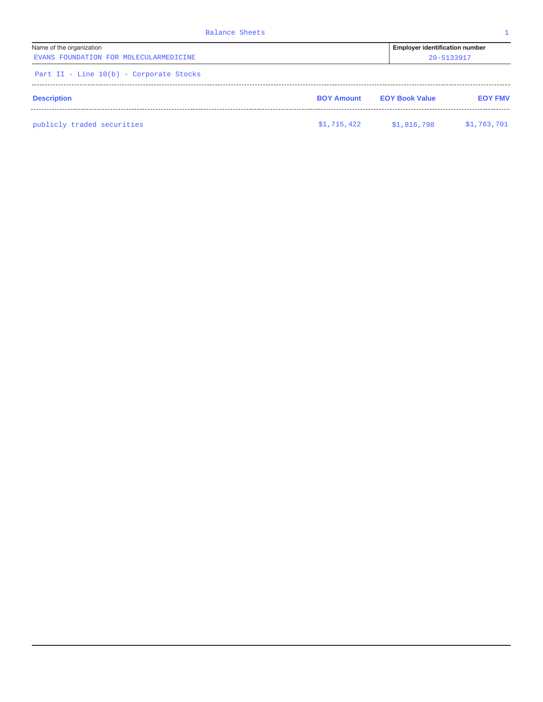| Balance Sheets                                                     |                   |                                                         |                |
|--------------------------------------------------------------------|-------------------|---------------------------------------------------------|----------------|
| Name of the organization<br>EVANS FOUNDATION FOR MOLECULARMEDICINE |                   | <b>Employer identification number</b><br>$20 - 5133917$ |                |
| Part II - Line 10(b) - Corporate Stocks                            |                   |                                                         |                |
| <b>Description</b>                                                 | <b>BOY Amount</b> | <b>EOY Book Value</b>                                   | <b>EOY FMV</b> |
| publicly traded securities                                         | \$1,715,422       | \$1,816,798                                             | \$1,763,701    |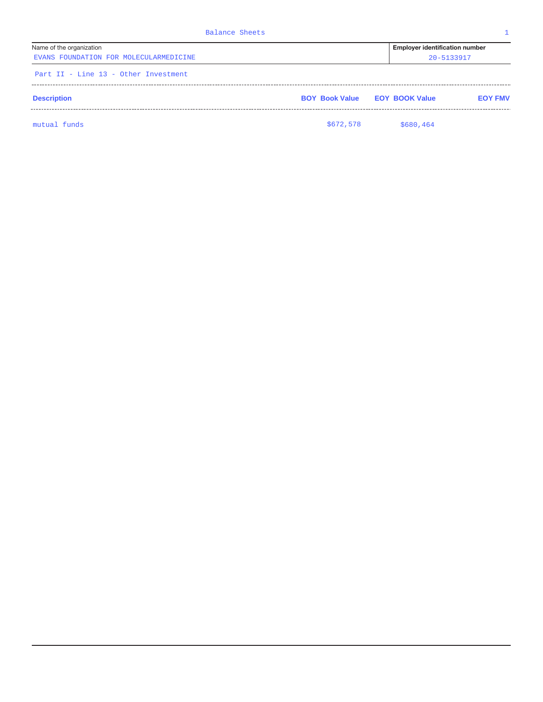| <b>Balance Sheets</b>                                              |                                      |                                                     |                |
|--------------------------------------------------------------------|--------------------------------------|-----------------------------------------------------|----------------|
| Name of the organization<br>EVANS FOUNDATION FOR MOLECULARMEDICINE |                                      | <b>Employer identification number</b><br>20-5133917 |                |
| Part II - Line 13 - Other Investment                               |                                      |                                                     |                |
| <b>Description</b>                                                 | <b>BOY Book Value EOY BOOK Value</b> |                                                     | <b>EOY FMV</b> |
| mutual funds                                                       | \$672,578                            | \$680,464                                           |                |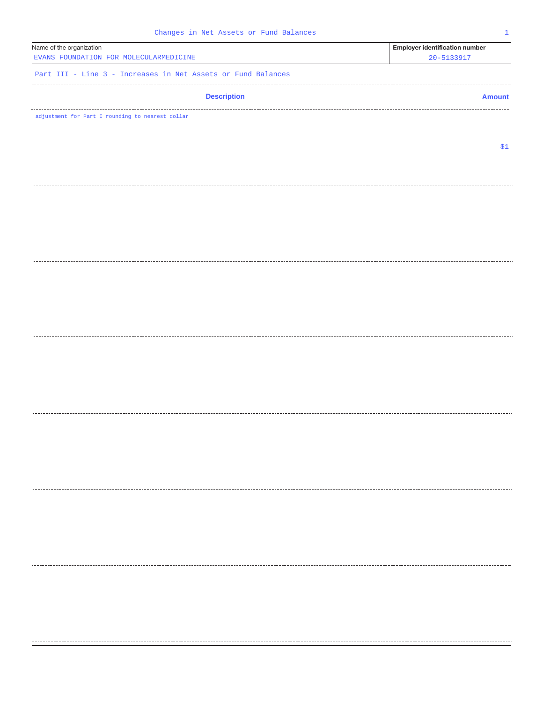| Changes in Net Assets or Fund Balances<br>$\mathbf{1}$             |                                                     |  |  |  |
|--------------------------------------------------------------------|-----------------------------------------------------|--|--|--|
| Name of the organization<br>EVANS FOUNDATION FOR MOLECULARMEDICINE | <b>Employer identification number</b><br>20-5133917 |  |  |  |
| Part III - Line 3 - Increases in Net Assets or Fund Balances       |                                                     |  |  |  |
| <b>Description</b>                                                 | <b>Amount</b>                                       |  |  |  |
| adjustment for Part I rounding to nearest dollar                   |                                                     |  |  |  |
|                                                                    |                                                     |  |  |  |
|                                                                    | \$1                                                 |  |  |  |
|                                                                    |                                                     |  |  |  |
|                                                                    |                                                     |  |  |  |
|                                                                    |                                                     |  |  |  |
|                                                                    |                                                     |  |  |  |
|                                                                    |                                                     |  |  |  |
|                                                                    |                                                     |  |  |  |
|                                                                    |                                                     |  |  |  |
|                                                                    |                                                     |  |  |  |
|                                                                    |                                                     |  |  |  |
|                                                                    |                                                     |  |  |  |
|                                                                    |                                                     |  |  |  |
|                                                                    |                                                     |  |  |  |
|                                                                    |                                                     |  |  |  |
|                                                                    |                                                     |  |  |  |
|                                                                    |                                                     |  |  |  |
|                                                                    |                                                     |  |  |  |
|                                                                    |                                                     |  |  |  |
|                                                                    |                                                     |  |  |  |
|                                                                    |                                                     |  |  |  |
|                                                                    |                                                     |  |  |  |
|                                                                    |                                                     |  |  |  |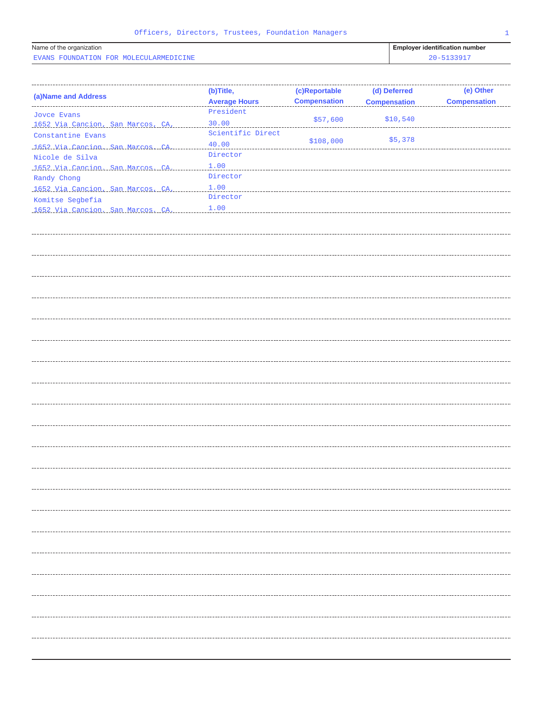| Name of the organization               | <b>Employer identification number</b> |
|----------------------------------------|---------------------------------------|
| EVANS FOUNDATION FOR MOLECULARMEDICINE | 2201                                  |

| EVANS FOUNDATION FOR MOLECULARMEDICINE |                      | 20-5133917          |                     |                     |
|----------------------------------------|----------------------|---------------------|---------------------|---------------------|
|                                        |                      |                     |                     |                     |
|                                        |                      |                     |                     |                     |
| (a) Name and Address                   | (b)Title,            | (c)Reportable       | (d) Deferred        | (e) Other           |
| ------------------------               | <b>Average Hours</b> | <b>Compensation</b> | <b>Compensation</b> | <b>Compensation</b> |
| Joyce Evans                            | President            |                     |                     |                     |
| 1652 Via Cancion, San Marcos, CA,      | 30.00                | \$57,600            | \$10,540            |                     |
| Constantine Evans                      | Scientific Direct    |                     |                     |                     |
| 1652 Via Cancion, San Marcos, CA,      | 40.00                | \$108,000           | \$5,378             |                     |
| Nicole de Silva                        | Director             |                     |                     |                     |
| 1652 Via Cancion, San Marcos, CA,      | 1.00                 |                     |                     |                     |
| Randy Chong                            | Director             |                     |                     |                     |
| 1652 Via Cancion, San Marcos, CA,      | 1.00                 |                     |                     |                     |
| Komitse Segbefia                       | Director             |                     |                     |                     |
| 1652 Via Cancion, San Marcos, CA,      | 1.00                 |                     |                     |                     |
|                                        |                      |                     |                     |                     |
|                                        |                      |                     |                     |                     |
|                                        |                      |                     |                     |                     |
|                                        |                      |                     |                     |                     |
|                                        |                      |                     |                     |                     |
|                                        |                      |                     |                     |                     |
|                                        |                      |                     |                     |                     |
|                                        |                      |                     |                     |                     |
|                                        |                      |                     |                     |                     |
|                                        |                      |                     |                     |                     |
|                                        |                      |                     |                     |                     |
|                                        |                      |                     |                     |                     |
|                                        |                      |                     |                     |                     |
|                                        |                      |                     |                     |                     |
|                                        |                      |                     |                     |                     |
|                                        |                      |                     |                     |                     |
|                                        |                      |                     |                     |                     |
|                                        |                      |                     |                     |                     |
|                                        |                      |                     |                     |                     |
|                                        |                      |                     |                     |                     |
|                                        |                      |                     |                     |                     |
|                                        |                      |                     |                     |                     |
|                                        |                      |                     |                     |                     |
|                                        |                      |                     |                     |                     |
|                                        |                      |                     |                     |                     |
|                                        |                      |                     |                     |                     |
|                                        |                      |                     |                     |                     |
|                                        |                      |                     |                     |                     |
|                                        |                      |                     |                     |                     |
|                                        |                      |                     |                     |                     |
|                                        |                      |                     |                     |                     |
|                                        |                      |                     |                     |                     |
|                                        |                      |                     |                     |                     |
|                                        |                      |                     |                     |                     |
|                                        |                      |                     |                     |                     |
|                                        |                      |                     |                     |                     |
|                                        |                      |                     |                     |                     |
|                                        |                      |                     |                     |                     |
|                                        |                      |                     |                     |                     |
|                                        |                      |                     |                     |                     |
|                                        |                      |                     |                     |                     |
|                                        |                      |                     |                     |                     |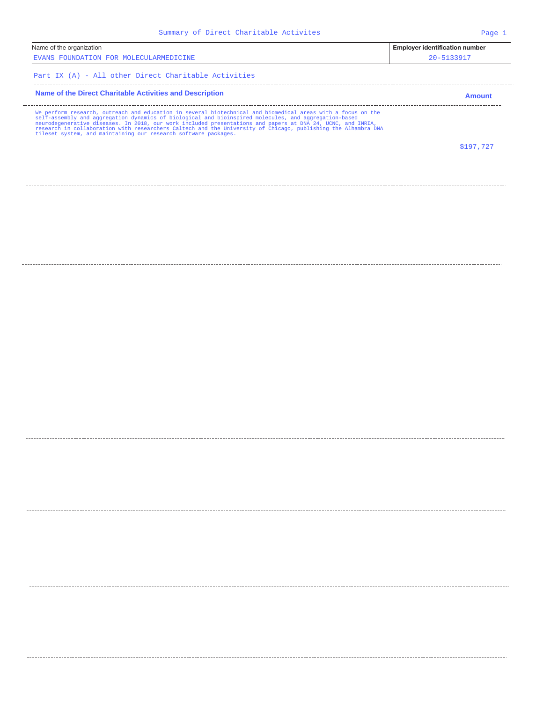| Name of the organization<br><b>Employer identification number</b><br>EVANS FOUNDATION FOR MOLECULARMEDICINE<br>20-5133917<br>Part IX (A) - All other Direct Charitable Activities<br>Name of the Direct Charitable Activities and Description<br>We perform research, outreach and education in several biotechnical and biomedical areas with a focus on the<br>self-assembly and aggregation dynamics of biological and bioinspired molecules, and aggregation-based<br>neurodegenerative diseases. In 2018, our work included presentations and papers at DNA 24, UCNC, and INRIA,<br>research in collaboration with researchers Caltech and the University of Chicago, publishing the Alhambra DNA<br>tileset system, and maintaining our research software packages. | <b>Amount</b><br>\$197,727 |
|---------------------------------------------------------------------------------------------------------------------------------------------------------------------------------------------------------------------------------------------------------------------------------------------------------------------------------------------------------------------------------------------------------------------------------------------------------------------------------------------------------------------------------------------------------------------------------------------------------------------------------------------------------------------------------------------------------------------------------------------------------------------------|----------------------------|
|                                                                                                                                                                                                                                                                                                                                                                                                                                                                                                                                                                                                                                                                                                                                                                           |                            |
|                                                                                                                                                                                                                                                                                                                                                                                                                                                                                                                                                                                                                                                                                                                                                                           |                            |
|                                                                                                                                                                                                                                                                                                                                                                                                                                                                                                                                                                                                                                                                                                                                                                           |                            |
|                                                                                                                                                                                                                                                                                                                                                                                                                                                                                                                                                                                                                                                                                                                                                                           |                            |
|                                                                                                                                                                                                                                                                                                                                                                                                                                                                                                                                                                                                                                                                                                                                                                           |                            |
|                                                                                                                                                                                                                                                                                                                                                                                                                                                                                                                                                                                                                                                                                                                                                                           |                            |
|                                                                                                                                                                                                                                                                                                                                                                                                                                                                                                                                                                                                                                                                                                                                                                           |                            |
|                                                                                                                                                                                                                                                                                                                                                                                                                                                                                                                                                                                                                                                                                                                                                                           |                            |
|                                                                                                                                                                                                                                                                                                                                                                                                                                                                                                                                                                                                                                                                                                                                                                           |                            |
|                                                                                                                                                                                                                                                                                                                                                                                                                                                                                                                                                                                                                                                                                                                                                                           |                            |
|                                                                                                                                                                                                                                                                                                                                                                                                                                                                                                                                                                                                                                                                                                                                                                           |                            |
|                                                                                                                                                                                                                                                                                                                                                                                                                                                                                                                                                                                                                                                                                                                                                                           |                            |
|                                                                                                                                                                                                                                                                                                                                                                                                                                                                                                                                                                                                                                                                                                                                                                           |                            |
|                                                                                                                                                                                                                                                                                                                                                                                                                                                                                                                                                                                                                                                                                                                                                                           |                            |
|                                                                                                                                                                                                                                                                                                                                                                                                                                                                                                                                                                                                                                                                                                                                                                           |                            |
|                                                                                                                                                                                                                                                                                                                                                                                                                                                                                                                                                                                                                                                                                                                                                                           |                            |
|                                                                                                                                                                                                                                                                                                                                                                                                                                                                                                                                                                                                                                                                                                                                                                           |                            |
|                                                                                                                                                                                                                                                                                                                                                                                                                                                                                                                                                                                                                                                                                                                                                                           |                            |
|                                                                                                                                                                                                                                                                                                                                                                                                                                                                                                                                                                                                                                                                                                                                                                           |                            |
|                                                                                                                                                                                                                                                                                                                                                                                                                                                                                                                                                                                                                                                                                                                                                                           |                            |
|                                                                                                                                                                                                                                                                                                                                                                                                                                                                                                                                                                                                                                                                                                                                                                           |                            |
|                                                                                                                                                                                                                                                                                                                                                                                                                                                                                                                                                                                                                                                                                                                                                                           |                            |
|                                                                                                                                                                                                                                                                                                                                                                                                                                                                                                                                                                                                                                                                                                                                                                           |                            |
|                                                                                                                                                                                                                                                                                                                                                                                                                                                                                                                                                                                                                                                                                                                                                                           |                            |
|                                                                                                                                                                                                                                                                                                                                                                                                                                                                                                                                                                                                                                                                                                                                                                           |                            |
|                                                                                                                                                                                                                                                                                                                                                                                                                                                                                                                                                                                                                                                                                                                                                                           |                            |
|                                                                                                                                                                                                                                                                                                                                                                                                                                                                                                                                                                                                                                                                                                                                                                           |                            |
|                                                                                                                                                                                                                                                                                                                                                                                                                                                                                                                                                                                                                                                                                                                                                                           |                            |
|                                                                                                                                                                                                                                                                                                                                                                                                                                                                                                                                                                                                                                                                                                                                                                           |                            |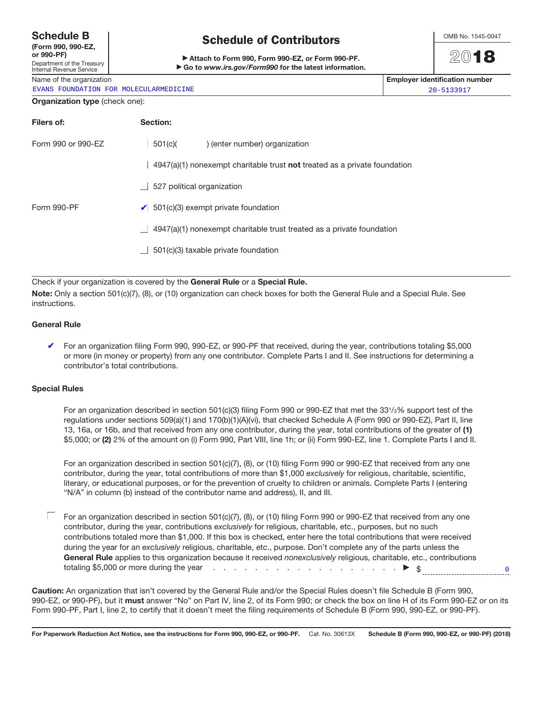### **Schedule B**

**(Form 990, 990-EZ, or 990-PF)**

#### Department of the Treasury Internal Revenue Service

Name of the organization **Employer identification number**

EVANS FOUNDATION FOR MOLECULARMEDICINE 20-5133917

## **Schedule of Contributors**

Attach to Form 990, Form 990-EZ, or Form 990-PF. ▶ Go to *www.irs.gov/Form990* for the latest information. OMB No. 1545-0047

20**18**

0

#### **Organization type** (check one):

| Filers of:         | Section:                                                                                |
|--------------------|-----------------------------------------------------------------------------------------|
| Form 990 or 990-EZ | $\Box$ 501(c)(<br>) (enter number) organization                                         |
|                    | $\Box$ 4947(a)(1) nonexempt charitable trust <b>not</b> treated as a private foundation |
|                    | $\Box$ 527 political organization                                                       |
| Form 990-PF        | 501(c)(3) exempt private foundation                                                     |
|                    | 4947(a)(1) nonexempt charitable trust treated as a private foundation<br>L I            |
|                    | 501(c)(3) taxable private foundation<br>ш                                               |
|                    |                                                                                         |

Check if your organization is covered by the **General Rule** or a **Special Rule.**

**Note:** Only a section 501(c)(7), (8), or (10) organization can check boxes for both the General Rule and a Special Rule. See instructions.

### **General Rule**

For an organization filing Form 990, 990-EZ, or 990-PF that received, during the year, contributions totaling \$5,000 or more (in money or property) from any one contributor. Complete Parts I and II. See instructions for determining a contributor's total contributions.

### **Special Rules**

For an organization described in section 501(c)(3) filing Form 990 or 990-EZ that met the 331/3% support test of the regulations under sections 509(a)(1) and 170(b)(1)(A)(vi), that checked Schedule A (Form 990 or 990-EZ), Part II, line 13, 16a, or 16b, and that received from any one contributor, during the year, total contributions of the greater of **(1)**  \$5,000; or **(2)** 2% of the amount on (i) Form 990, Part VIII, line 1h; or (ii) Form 990-EZ, line 1. Complete Parts I and II.

For an organization described in section 501(c)(7), (8), or (10) filing Form 990 or 990-EZ that received from any one contributor, during the year, total contributions of more than \$1,000 exclusively for religious, charitable, scientific, literary, or educational purposes, or for the prevention of cruelty to children or animals. Complete Parts I (entering "N/A" in column (b) instead of the contributor name and address), II, and III.

 $\Box$  For an organization described in section 501(c)(7), (8), or (10) filing Form 990 or 990-EZ that received from any one contributor, during the year, contributions exclusively for religious, charitable, etc., purposes, but no such contributions totaled more than \$1,000. If this box is checked, enter here the total contributions that were received during the year for an exclusively religious, charitable, etc., purpose. Don't complete any of the parts unless the General Rule applies to this organization because it received nonexclusively religious, charitable, etc., contributions totaling \$5,000 or more during the year  $\ldots$  . . . . . . . . . . . . . . . . .  $\blacktriangleright$  \$

**Caution:** An organization that isn't covered by the General Rule and/or the Special Rules doesn't file Schedule B (Form 990, 990-EZ, or 990-PF), but it **must** answer "No" on Part IV, line 2, of its Form 990; or check the box on line H of its Form 990-EZ or on its Form 990-PF, Part I, line 2, to certify that it doesn't meet the filing requirements of Schedule B (Form 990, 990-EZ, or 990-PF).